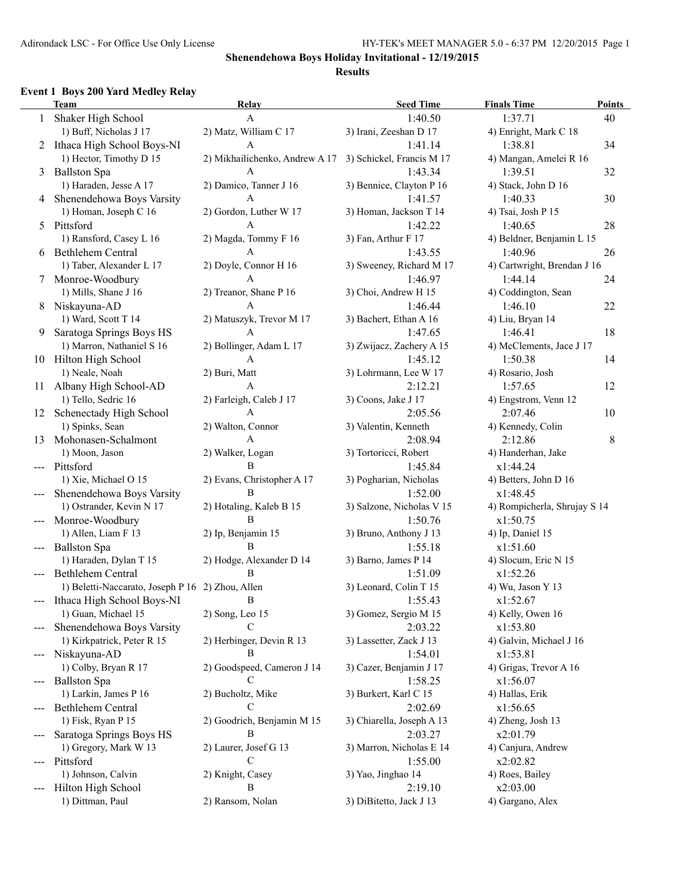### **Event 1 Boys 200 Yard Medley Relay**

|       | EVEIIL I - DOYS ZUV-TALU IVIEUIEY INEIAY         |                                 |                           |                              |         |
|-------|--------------------------------------------------|---------------------------------|---------------------------|------------------------------|---------|
|       | <b>Team</b>                                      | Relay                           | <b>Seed Time</b>          | <b>Finals Time</b>           | Points  |
|       | 1 Shaker High School                             | A                               | 1:40.50                   | 1:37.71                      | 40      |
|       | 1) Buff, Nicholas J 17                           | 2) Matz, William C 17           | 3) Irani, Zeeshan D 17    | 4) Enright, Mark C 18        |         |
|       | 2 Ithaca High School Boys-NI                     | A                               | 1:41.14                   | 1:38.81                      | 34      |
|       | 1) Hector, Timothy D 15                          | 2) Mikhailichenko, Andrew A 17  | 3) Schickel, Francis M 17 | 4) Mangan, Amelei R 16       |         |
| 3     | <b>Ballston Spa</b>                              | A                               | 1:43.34                   | 1:39.51                      | 32      |
|       | 1) Haraden, Jesse A 17                           | 2) Damico, Tanner J 16          | 3) Bennice, Clayton P 16  | 4) Stack, John D 16          |         |
| 4     | Shenendehowa Boys Varsity                        | A                               | 1:41.57                   | 1:40.33                      | 30      |
|       | 1) Homan, Joseph C 16                            | 2) Gordon, Luther W 17          | 3) Homan, Jackson T 14    | 4) Tsai, Josh P 15           |         |
| 5     | Pittsford                                        | A                               | 1:42.22                   | 1:40.65                      | 28      |
|       | 1) Ransford, Casey L 16                          | 2) Magda, Tommy F 16            | 3) Fan, Arthur F 17       | 4) Beldner, Benjamin L 15    |         |
| 6     | Bethlehem Central                                | A                               | 1:43.55                   | 1:40.96                      | 26      |
|       | 1) Taber, Alexander L 17                         | 2) Doyle, Connor H 16           | 3) Sweeney, Richard M 17  | 4) Cartwright, Brendan J 16  |         |
| 7     | Monroe-Woodbury                                  | A                               | 1:46.97                   | 1:44.14                      | 24      |
|       | 1) Mills, Shane J 16                             | 2) Treanor, Shane P 16          | 3) Choi, Andrew H 15      | 4) Coddington, Sean          |         |
|       | 8 Niskayuna-AD                                   | A                               | 1:46.44                   | 1:46.10                      | 22      |
|       | 1) Ward, Scott T 14                              | 2) Matuszyk, Trevor M 17        | 3) Bachert, Ethan A 16    | 4) Liu, Bryan 14             |         |
| 9     | Saratoga Springs Boys HS                         | A                               | 1:47.65                   | 1:46.41                      | 18      |
|       | 1) Marron, Nathaniel S 16                        | 2) Bollinger, Adam L 17         | 3) Zwijacz, Zachery A 15  | 4) McClements, Jace J 17     |         |
|       | 10 Hilton High School                            | A                               | 1:45.12                   | 1:50.38                      | 14      |
|       | 1) Neale, Noah                                   | 2) Buri, Matt                   | 3) Lohrmann, Lee W 17     | 4) Rosario, Josh             |         |
|       | 11 Albany High School-AD                         | A                               | 2:12.21                   | 1:57.65                      | 12      |
|       | 1) Tello, Sedric 16                              | 2) Farleigh, Caleb J 17         | 3) Coons, Jake J 17       | 4) Engstrom, Venn 12         |         |
|       | 12 Schenectady High School                       | A                               | 2:05.56                   | 2:07.46                      | 10      |
|       | 1) Spinks, Sean                                  | 2) Walton, Connor               | 3) Valentin, Kenneth      | 4) Kennedy, Colin            |         |
|       | Mohonasen-Schalmont                              | A                               | 2:08.94                   | 2:12.86                      | $\,8\,$ |
| 13    | 1) Moon, Jason                                   | 2) Walker, Logan                | 3) Tortoricci, Robert     | 4) Handerhan, Jake           |         |
|       | Pittsford                                        | B                               |                           | x1:44.24                     |         |
| $---$ |                                                  |                                 | 1:45.84                   |                              |         |
|       | 1) Xie, Michael O 15                             | 2) Evans, Christopher A 17<br>B | 3) Pogharian, Nicholas    | 4) Betters, John D 16        |         |
|       | Shenendehowa Boys Varsity                        |                                 | 1:52.00                   | x1:48.45                     |         |
|       | 1) Ostrander, Kevin N 17                         | 2) Hotaling, Kaleb B 15         | 3) Salzone, Nicholas V 15 | 4) Rompicherla, Shrujay S 14 |         |
|       | Monroe-Woodbury                                  | B                               | 1:50.76                   | x1:50.75                     |         |
|       | 1) Allen, Liam F 13                              | 2) Ip, Benjamin 15              | 3) Bruno, Anthony J 13    | 4) Ip, Daniel 15             |         |
| $---$ | <b>Ballston Spa</b>                              | B                               | 1:55.18                   | x1:51.60                     |         |
|       | 1) Haraden, Dylan T 15                           | 2) Hodge, Alexander D 14        | 3) Barno, James P 14      | 4) Slocum, Eric N 15         |         |
|       | <b>Bethlehem Central</b>                         | R                               | 1:51.09                   | x1:52.26                     |         |
|       | 1) Beletti-Naccarato, Joseph P 16 2) Zhou, Allen |                                 | 3) Leonard, Colin T 15    | 4) Wu, Jason Y 13            |         |
|       | Ithaca High School Boys-NI B                     |                                 | 1:55.43                   | x1:52.67                     |         |
|       | 1) Guan, Michael 15                              | 2) Song, Leo 15                 | 3) Gomez, Sergio M 15     | 4) Kelly, Owen 16            |         |
|       | Shenendehowa Boys Varsity                        | C                               | 2:03.22                   | x1:53.80                     |         |
|       | 1) Kirkpatrick, Peter R 15                       | 2) Herbinger, Devin R 13        | 3) Lassetter, Zack J 13   | 4) Galvin, Michael J 16      |         |
|       | Niskayuna-AD                                     | B                               | 1:54.01                   | x1:53.81                     |         |
|       | 1) Colby, Bryan R 17                             | 2) Goodspeed, Cameron J 14      | 3) Cazer, Benjamin J 17   | 4) Grigas, Trevor A 16       |         |
|       | <b>Ballston Spa</b>                              | C                               | 1:58.25                   | x1:56.07                     |         |
|       | 1) Larkin, James P 16                            | 2) Bucholtz, Mike               | 3) Burkert, Karl C 15     | 4) Hallas, Erik              |         |
|       | Bethlehem Central                                | C                               | 2:02.69                   | x1:56.65                     |         |
|       | 1) Fisk, Ryan P 15                               | 2) Goodrich, Benjamin M 15      | 3) Chiarella, Joseph A 13 | 4) Zheng, Josh 13            |         |
|       | Saratoga Springs Boys HS                         | B                               | 2:03.27                   | x2:01.79                     |         |
|       | 1) Gregory, Mark W 13                            | 2) Laurer, Josef G 13           | 3) Marron, Nicholas E 14  | 4) Canjura, Andrew           |         |
|       | Pittsford                                        | C                               | 1:55.00                   | x2:02.82                     |         |
|       | 1) Johnson, Calvin                               | 2) Knight, Casey                | 3) Yao, Jinghao 14        | 4) Roes, Bailey              |         |
|       | Hilton High School                               | B                               | 2:19.10                   | x2:03.00                     |         |
|       | 1) Dittman, Paul                                 | 2) Ransom, Nolan                | 3) DiBitetto, Jack J 13   | 4) Gargano, Alex             |         |
|       |                                                  |                                 |                           |                              |         |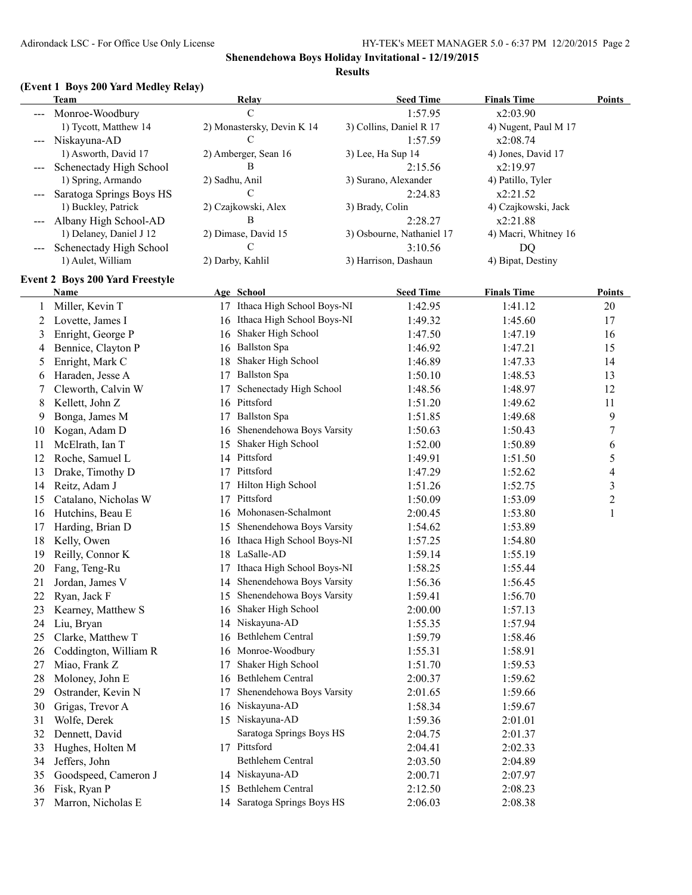## **(Event 1 Boys 200 Yard Medley Relay)**

|    | <b>Team</b>                            |                | Relay                         | <b>Seed Time</b>          | <b>Finals Time</b>   | <b>Points</b>    |
|----|----------------------------------------|----------------|-------------------------------|---------------------------|----------------------|------------------|
|    | Monroe-Woodbury                        |                | $\mathcal{C}$                 | 1:57.95                   | x2:03.90             |                  |
|    | 1) Tycott, Matthew 14                  |                | 2) Monastersky, Devin K 14    | 3) Collins, Daniel R 17   | 4) Nugent, Paul M 17 |                  |
|    | Niskayuna-AD                           |                | C                             | 1:57.59                   | x2:08.74             |                  |
|    | 1) Asworth, David 17                   |                | 2) Amberger, Sean 16          | 3) Lee, Ha Sup 14         | 4) Jones, David 17   |                  |
|    | Schenectady High School                |                | B                             | 2:15.56                   | x2:19.97             |                  |
|    | 1) Spring, Armando                     | 2) Sadhu, Anil |                               | 3) Surano, Alexander      | 4) Patillo, Tyler    |                  |
|    | Saratoga Springs Boys HS               |                | C                             | 2:24.83                   | x2:21.52             |                  |
|    | 1) Buckley, Patrick                    |                | 2) Czajkowski, Alex           | 3) Brady, Colin           | 4) Czajkowski, Jack  |                  |
|    | Albany High School-AD                  |                | B                             | 2:28.27                   | x2:21.88             |                  |
|    | 1) Delaney, Daniel J 12                |                | 2) Dimase, David 15           | 3) Osbourne, Nathaniel 17 | 4) Macri, Whitney 16 |                  |
|    | Schenectady High School                |                | C                             | 3:10.56                   | DQ                   |                  |
|    | 1) Aulet, William                      |                | 2) Darby, Kahlil              | 3) Harrison, Dashaun      | 4) Bipat, Destiny    |                  |
|    | <b>Event 2 Boys 200 Yard Freestyle</b> |                |                               |                           |                      |                  |
|    | <b>Name</b>                            |                | Age School                    | <b>Seed Time</b>          | <b>Finals Time</b>   | Points           |
| 1  | Miller, Kevin T                        |                | 17 Ithaca High School Boys-NI | 1:42.95                   | 1:41.12              | $20\,$           |
| 2  | Lovette, James I                       |                | 16 Ithaca High School Boys-NI | 1:49.32                   | 1:45.60              | 17               |
| 3  | Enright, George P                      |                | 16 Shaker High School         | 1:47.50                   | 1:47.19              | 16               |
| 4  | Bennice, Clayton P                     |                | 16 Ballston Spa               | 1:46.92                   | 1:47.21              | 15               |
| 5  | Enright, Mark C                        | 18             | Shaker High School            | 1:46.89                   | 1:47.33              | 14               |
| 6  | Haraden, Jesse A                       | 17             | <b>Ballston Spa</b>           | 1:50.10                   | 1:48.53              | 13               |
| 7  | Cleworth, Calvin W                     | 17             | Schenectady High School       | 1:48.56                   | 1:48.97              | 12               |
| 8  | Kellett, John Z                        |                | 16 Pittsford                  | 1:51.20                   | 1:49.62              | 11               |
| 9  | Bonga, James M                         | 17             | <b>Ballston Spa</b>           | 1:51.85                   | 1:49.68              | 9                |
| 10 | Kogan, Adam D                          | 16             | Shenendehowa Boys Varsity     | 1:50.63                   | 1:50.43              | $\overline{7}$   |
| 11 | McElrath, Ian T                        | 15             | Shaker High School            | 1:52.00                   | 1:50.89              | 6                |
| 12 | Roche, Samuel L                        |                | 14 Pittsford                  | 1:49.91                   | 1:51.50              | 5                |
| 13 | Drake, Timothy D                       |                | 17 Pittsford                  | 1:47.29                   | 1:52.62              | 4                |
| 14 | Reitz, Adam J                          | 17             | Hilton High School            | 1:51.26                   | 1:52.75              | 3                |
| 15 | Catalano, Nicholas W                   |                | 17 Pittsford                  | 1:50.09                   | 1:53.09              | $\boldsymbol{2}$ |
| 16 | Hutchins, Beau E                       |                | 16 Mohonasen-Schalmont        | 2:00.45                   | 1:53.80              | $\,1\,$          |
| 17 | Harding, Brian D                       | 15             | Shenendehowa Boys Varsity     | 1:54.62                   | 1:53.89              |                  |
| 18 | Kelly, Owen                            | 16             | Ithaca High School Boys-NI    | 1:57.25                   | 1:54.80              |                  |
| 19 | Reilly, Connor K                       | 18             | LaSalle-AD                    | 1:59.14                   | 1:55.19              |                  |
| 20 | Fang, Teng-Ru                          | 17             | Ithaca High School Boys-NI    | 1:58.25                   | 1:55.44              |                  |
| 21 | Jordan, James V                        |                | 14 Shenendehowa Boys Varsity  | 1:56.36                   | 1:56.45              |                  |
| 22 | Ryan, Jack F                           |                | 15 Shenendehowa Boys Varsity  | 1:59.41                   | 1:56.70              |                  |
| 23 | Kearney, Matthew S                     |                | 16 Shaker High School         | 2:00.00                   | 1:57.13              |                  |
| 24 | Liu, Bryan                             | 14             | Niskayuna-AD                  | 1:55.35                   | 1:57.94              |                  |
| 25 | Clarke, Matthew T                      | 16             | Bethlehem Central             | 1:59.79                   | 1:58.46              |                  |
| 26 | Coddington, William R                  | 16             | Monroe-Woodbury               | 1:55.31                   | 1:58.91              |                  |
| 27 | Miao, Frank Z                          | 17             | Shaker High School            | 1:51.70                   | 1:59.53              |                  |
| 28 | Moloney, John E                        | 16             | Bethlehem Central             | 2:00.37                   | 1:59.62              |                  |
| 29 | Ostrander, Kevin N                     | 17             | Shenendehowa Boys Varsity     | 2:01.65                   | 1:59.66              |                  |
| 30 | Grigas, Trevor A                       | 16             | Niskayuna-AD                  | 1:58.34                   | 1:59.67              |                  |
| 31 | Wolfe, Derek                           |                | 15 Niskayuna-AD               | 1:59.36                   | 2:01.01              |                  |
| 32 | Dennett, David                         |                | Saratoga Springs Boys HS      | 2:04.75                   | 2:01.37              |                  |
| 33 | Hughes, Holten M                       |                | 17 Pittsford                  | 2:04.41                   | 2:02.33              |                  |
| 34 | Jeffers, John                          |                | Bethlehem Central             | 2:03.50                   | 2:04.89              |                  |
| 35 | Goodspeed, Cameron J                   |                | 14 Niskayuna-AD               | 2:00.71                   | 2:07.97              |                  |
| 36 | Fisk, Ryan P                           | 15             | Bethlehem Central             | 2:12.50                   | 2:08.23              |                  |
| 37 | Marron, Nicholas E                     |                | 14 Saratoga Springs Boys HS   | 2:06.03                   | 2:08.38              |                  |
|    |                                        |                |                               |                           |                      |                  |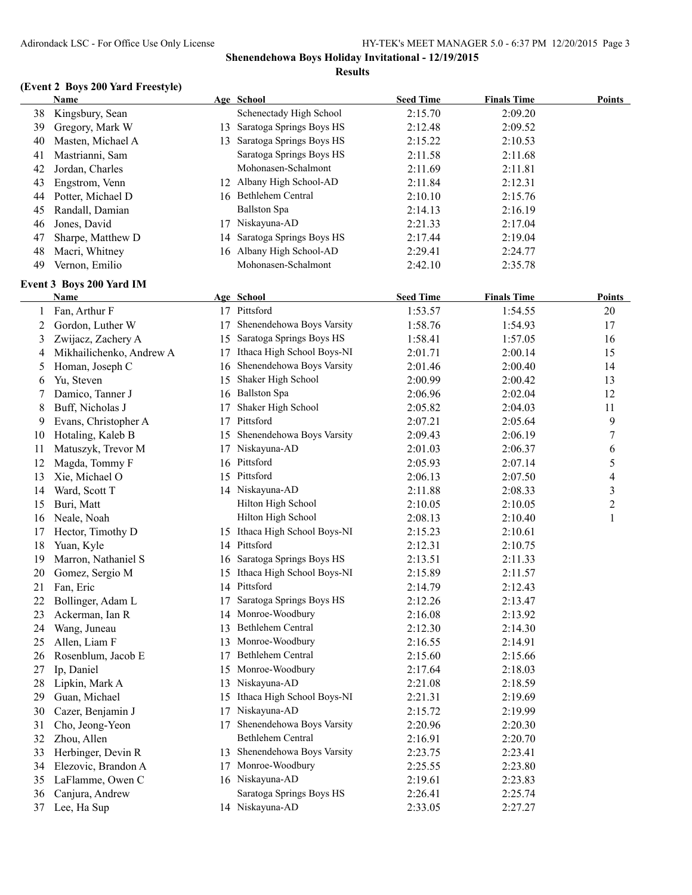## **(Event 2 Boys 200 Yard Freestyle)**

|    | Name                             |    | Age School                    | <b>Seed Time</b> | <b>Finals Time</b> | <b>Points</b>            |
|----|----------------------------------|----|-------------------------------|------------------|--------------------|--------------------------|
| 38 | Kingsbury, Sean                  |    | Schenectady High School       | 2:15.70          | 2:09.20            |                          |
| 39 | Gregory, Mark W                  |    | 13 Saratoga Springs Boys HS   | 2:12.48          | 2:09.52            |                          |
| 40 | Masten, Michael A                |    | 13 Saratoga Springs Boys HS   | 2:15.22          | 2:10.53            |                          |
| 41 | Mastrianni, Sam                  |    | Saratoga Springs Boys HS      | 2:11.58          | 2:11.68            |                          |
| 42 | Jordan, Charles                  |    | Mohonasen-Schalmont           | 2:11.69          | 2:11.81            |                          |
| 43 | Engstrom, Venn                   |    | 12 Albany High School-AD      | 2:11.84          | 2:12.31            |                          |
| 44 | Potter, Michael D                |    | 16 Bethlehem Central          | 2:10.10          | 2:15.76            |                          |
| 45 | Randall, Damian                  |    | <b>Ballston Spa</b>           | 2:14.13          | 2:16.19            |                          |
| 46 | Jones, David                     |    | 17 Niskayuna-AD               | 2:21.33          | 2:17.04            |                          |
| 47 | Sharpe, Matthew D                | 14 | Saratoga Springs Boys HS      | 2:17.44          | 2:19.04            |                          |
| 48 | Macri, Whitney                   |    | 16 Albany High School-AD      | 2:29.41          | 2:24.77            |                          |
| 49 | Vernon, Emilio                   |    | Mohonasen-Schalmont           | 2:42.10          | 2:35.78            |                          |
|    |                                  |    |                               |                  |                    |                          |
|    | Event 3 Boys 200 Yard IM<br>Name |    | Age School                    | <b>Seed Time</b> | <b>Finals Time</b> | <b>Points</b>            |
|    |                                  |    | 17 Pittsford                  |                  |                    |                          |
| 1  | Fan, Arthur F                    |    | Shenendehowa Boys Varsity     | 1:53.57          | 1:54.55            | 20                       |
| 2  | Gordon, Luther W                 | 17 |                               | 1:58.76          | 1:54.93            | 17                       |
| 3  | Zwijacz, Zachery A               | 15 | Saratoga Springs Boys HS      | 1:58.41          | 1:57.05            | 16                       |
| 4  | Mikhailichenko, Andrew A         | 17 | Ithaca High School Boys-NI    | 2:01.71          | 2:00.14            | 15                       |
| 5  | Homan, Joseph C                  | 16 | Shenendehowa Boys Varsity     | 2:01.46          | 2:00.40            | 14                       |
| 6  | Yu, Steven                       | 15 | Shaker High School            | 2:00.99          | 2:00.42            | 13                       |
| 7  | Damico, Tanner J                 | 16 | <b>Ballston Spa</b>           | 2:06.96          | 2:02.04            | 12                       |
| 8  | Buff, Nicholas J                 | 17 | Shaker High School            | 2:05.82          | 2:04.03            | 11                       |
| 9  | Evans, Christopher A             | 17 | Pittsford                     | 2:07.21          | 2:05.64            | 9                        |
| 10 | Hotaling, Kaleb B                | 15 | Shenendehowa Boys Varsity     | 2:09.43          | 2:06.19            | 7                        |
| 11 | Matuszyk, Trevor M               | 17 | Niskayuna-AD                  | 2:01.03          | 2:06.37            | 6                        |
| 12 | Magda, Tommy F                   |    | 16 Pittsford                  | 2:05.93          | 2:07.14            | 5                        |
| 13 | Xie, Michael O                   |    | 15 Pittsford                  | 2:06.13          | 2:07.50            | $\overline{\mathcal{A}}$ |
| 14 | Ward, Scott T                    |    | 14 Niskayuna-AD               | 2:11.88          | 2:08.33            | $\mathfrak{Z}$           |
| 15 | Buri, Matt                       |    | Hilton High School            | 2:10.05          | 2:10.05            | $\overline{c}$           |
| 16 | Neale, Noah                      |    | Hilton High School            | 2:08.13          | 2:10.40            | 1                        |
| 17 | Hector, Timothy D                |    | 15 Ithaca High School Boys-NI | 2:15.23          | 2:10.61            |                          |
| 18 | Yuan, Kyle                       |    | 14 Pittsford                  | 2:12.31          | 2:10.75            |                          |
| 19 | Marron, Nathaniel S              | 16 | Saratoga Springs Boys HS      | 2:13.51          | 2:11.33            |                          |
| 20 | Gomez, Sergio M                  |    | 15 Ithaca High School Boys-NI | 2:15.89          | 2:11.57            |                          |
| 21 | Fan, Eric                        |    | 14 Pittsford                  | 2:14.79          | 2:12.43            |                          |
|    | 22 Bollinger, Adam L             |    | 17 Saratoga Springs Boys HS   | 2:12.26          | 2:13.47            |                          |
| 23 | Ackerman, Ian R                  |    | 14 Monroe-Woodbury            | 2:16.08          | 2:13.92            |                          |
| 24 | Wang, Juneau                     | 13 | Bethlehem Central             | 2:12.30          | 2:14.30            |                          |
| 25 | Allen, Liam F                    |    | 13 Monroe-Woodbury            | 2:16.55          | 2:14.91            |                          |
| 26 | Rosenblum, Jacob E               | 17 | Bethlehem Central             | 2:15.60          | 2:15.66            |                          |
| 27 | Ip, Daniel                       | 15 | Monroe-Woodbury               | 2:17.64          | 2:18.03            |                          |
| 28 | Lipkin, Mark A                   | 13 | Niskayuna-AD                  | 2:21.08          | 2:18.59            |                          |
| 29 | Guan, Michael                    | 15 | Ithaca High School Boys-NI    | 2:21.31          | 2:19.69            |                          |
| 30 | Cazer, Benjamin J                | 17 | Niskayuna-AD                  | 2:15.72          | 2:19.99            |                          |
| 31 | Cho, Jeong-Yeon                  | 17 | Shenendehowa Boys Varsity     | 2:20.96          | 2:20.30            |                          |
| 32 | Zhou, Allen                      |    | Bethlehem Central             | 2:16.91          | 2:20.70            |                          |
| 33 | Herbinger, Devin R               | 13 | Shenendehowa Boys Varsity     | 2:23.75          | 2:23.41            |                          |
| 34 | Elezovic, Brandon A              | 17 | Monroe-Woodbury               | 2:25.55          | 2:23.80            |                          |
| 35 | LaFlamme, Owen C                 |    | 16 Niskayuna-AD               | 2:19.61          | 2:23.83            |                          |
| 36 | Canjura, Andrew                  |    | Saratoga Springs Boys HS      | 2:26.41          | 2:25.74            |                          |
| 37 | Lee, Ha Sup                      |    | 14 Niskayuna-AD               | 2:33.05          | 2:27.27            |                          |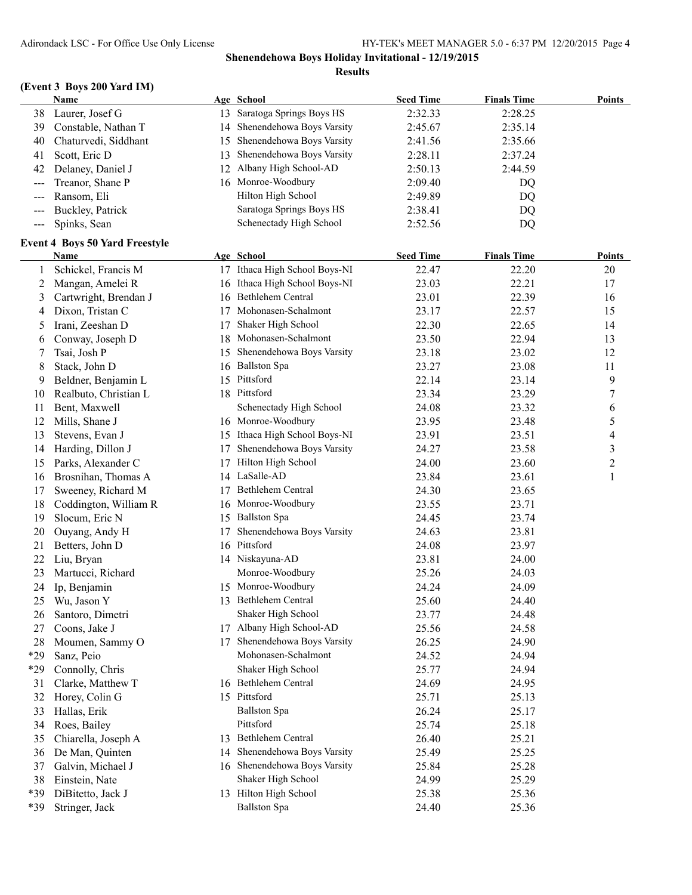## **(Event 3 Boys 200 Yard IM)**

|       | <b>Name</b>                           |    | Age School                    | <b>Seed Time</b> | <b>Finals Time</b> | <b>Points</b>            |
|-------|---------------------------------------|----|-------------------------------|------------------|--------------------|--------------------------|
| 38    | Laurer, Josef G                       |    | 13 Saratoga Springs Boys HS   | 2:32.33          | 2:28.25            |                          |
| 39    | Constable, Nathan T                   | 14 | Shenendehowa Boys Varsity     | 2:45.67          | 2:35.14            |                          |
| 40    | Chaturvedi, Siddhant                  | 15 | Shenendehowa Boys Varsity     | 2:41.56          | 2:35.66            |                          |
| 41    | Scott, Eric D                         | 13 | Shenendehowa Boys Varsity     | 2:28.11          | 2:37.24            |                          |
| 42    | Delaney, Daniel J                     | 12 | Albany High School-AD         | 2:50.13          | 2:44.59            |                          |
| $---$ | Treanor, Shane P                      |    | 16 Monroe-Woodbury            | 2:09.40          | DQ                 |                          |
| ---   | Ransom, Eli                           |    | Hilton High School            | 2:49.89          | DQ                 |                          |
| $---$ | Buckley, Patrick                      |    | Saratoga Springs Boys HS      | 2:38.41          | DQ                 |                          |
| $--$  | Spinks, Sean                          |    | Schenectady High School       | 2:52.56          | DQ                 |                          |
|       | <b>Event 4 Boys 50 Yard Freestyle</b> |    |                               |                  |                    |                          |
|       | <b>Name</b>                           |    | Age School                    | <b>Seed Time</b> | <b>Finals Time</b> | <b>Points</b>            |
| 1     | Schickel, Francis M                   |    | 17 Ithaca High School Boys-NI | 22.47            | 22.20              | 20                       |
| 2     | Mangan, Amelei R                      |    | 16 Ithaca High School Boys-NI | 23.03            | 22.21              | 17                       |
| 3     | Cartwright, Brendan J                 |    | 16 Bethlehem Central          | 23.01            | 22.39              | 16                       |
| 4     | Dixon, Tristan C                      | 17 | Mohonasen-Schalmont           | 23.17            | 22.57              | 15                       |
| 5     | Irani, Zeeshan D                      | 17 | Shaker High School            | 22.30            | 22.65              | 14                       |
| 6     | Conway, Joseph D                      | 18 | Mohonasen-Schalmont           | 23.50            | 22.94              | 13                       |
| 7     | Tsai, Josh P                          | 15 | Shenendehowa Boys Varsity     | 23.18            | 23.02              | 12                       |
| 8     | Stack, John D                         |    | 16 Ballston Spa               | 23.27            | 23.08              | 11                       |
| 9     | Beldner, Benjamin L                   |    | 15 Pittsford                  | 22.14            | 23.14              | 9                        |
| 10    | Realbuto, Christian L                 |    | 18 Pittsford                  | 23.34            | 23.29              | 7                        |
| 11    | Bent, Maxwell                         |    | Schenectady High School       | 24.08            | 23.32              | 6                        |
| 12    | Mills, Shane J                        |    | 16 Monroe-Woodbury            | 23.95            | 23.48              | 5                        |
| 13    | Stevens, Evan J                       |    | 15 Ithaca High School Boys-NI | 23.91            | 23.51              | $\overline{\mathcal{A}}$ |
| 14    | Harding, Dillon J                     | 17 | Shenendehowa Boys Varsity     | 24.27            | 23.58              | 3                        |
| 15    | Parks, Alexander C                    | 17 | Hilton High School            | 24.00            | 23.60              | $\mathfrak{2}$           |
| 16    | Brosnihan, Thomas A                   |    | 14 LaSalle-AD                 | 23.84            | 23.61              | 1                        |
| 17    | Sweeney, Richard M                    | 17 | Bethlehem Central             | 24.30            | 23.65              |                          |
| 18    | Coddington, William R                 | 16 | Monroe-Woodbury               | 23.55            | 23.71              |                          |
| 19    | Slocum, Eric N                        |    | 15 Ballston Spa               | 24.45            | 23.74              |                          |
| 20    | Ouyang, Andy H                        | 17 | Shenendehowa Boys Varsity     | 24.63            | 23.81              |                          |
| 21    | Betters, John D                       |    | 16 Pittsford                  | 24.08            | 23.97              |                          |
| 22    | Liu, Bryan                            |    | 14 Niskayuna-AD               | 23.81            | 24.00              |                          |
| 23    | Martucci, Richard                     |    | Monroe-Woodbury               | 25.26            | 24.03              |                          |
| 24    | Ip, Benjamin                          |    | 15 Monroe-Woodbury            | 24.24            | 24.09              |                          |
|       | 25 Wu, Jason Y                        |    | 13 Bethlehem Central          | 25.60            | 24.40              |                          |
| 26    | Santoro, Dimetri                      |    | Shaker High School            | 23.77            | 24.48              |                          |
| 27    | Coons, Jake J                         |    | 17 Albany High School-AD      | 25.56            | 24.58              |                          |
| 28    | Moumen, Sammy O                       | 17 | Shenendehowa Boys Varsity     | 26.25            | 24.90              |                          |
| *29   | Sanz, Peio                            |    | Mohonasen-Schalmont           | 24.52            | 24.94              |                          |
| *29   | Connolly, Chris                       |    | Shaker High School            | 25.77            | 24.94              |                          |
| 31    | Clarke, Matthew T                     |    | 16 Bethlehem Central          | 24.69            | 24.95              |                          |
| 32    | Horey, Colin G                        |    | 15 Pittsford                  | 25.71            | 25.13              |                          |
| 33    | Hallas, Erik                          |    | <b>Ballston Spa</b>           | 26.24            | 25.17              |                          |
| 34    | Roes, Bailey                          |    | Pittsford                     | 25.74            | 25.18              |                          |
| 35    | Chiarella, Joseph A                   | 13 | <b>Bethlehem Central</b>      | 26.40            | 25.21              |                          |
| 36    | De Man, Quinten                       | 14 | Shenendehowa Boys Varsity     | 25.49            | 25.25              |                          |
| 37    | Galvin, Michael J                     |    | 16 Shenendehowa Boys Varsity  | 25.84            | 25.28              |                          |
| 38    | Einstein, Nate                        |    | Shaker High School            | 24.99            | 25.29              |                          |
| *39   | DiBitetto, Jack J                     |    | 13 Hilton High School         | 25.38            | 25.36              |                          |
| *39   | Stringer, Jack                        |    | <b>Ballston Spa</b>           | 24.40            | 25.36              |                          |
|       |                                       |    |                               |                  |                    |                          |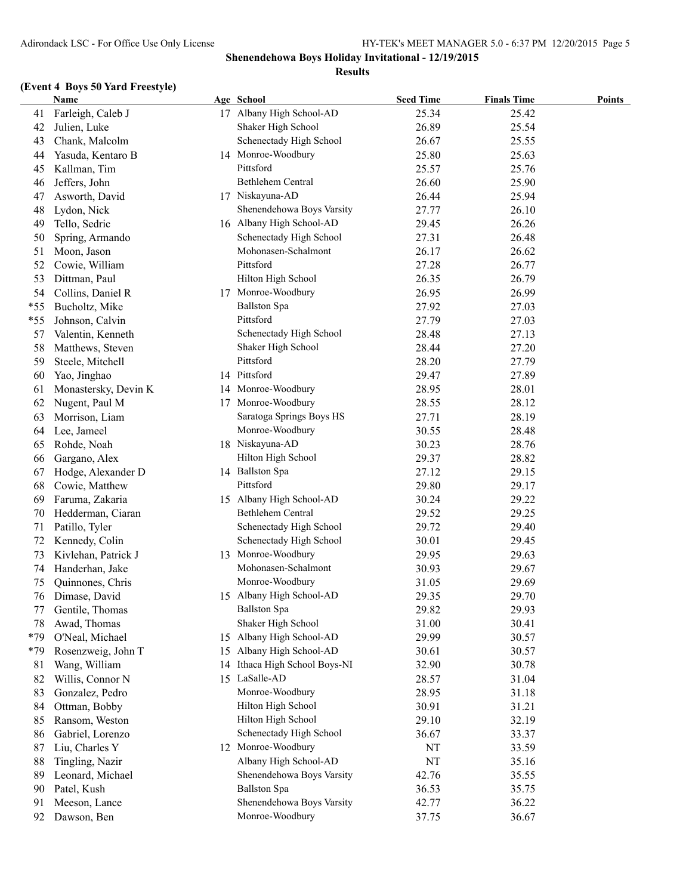## **(Event 4 Boys 50 Yard Freestyle)**

|       | <b>Name</b>          |    | Age School                 | <b>Seed Time</b> | <b>Finals Time</b> | <b>Points</b> |
|-------|----------------------|----|----------------------------|------------------|--------------------|---------------|
| 41    | Farleigh, Caleb J    |    | 17 Albany High School-AD   | 25.34            | 25.42              |               |
| 42    | Julien, Luke         |    | Shaker High School         | 26.89            | 25.54              |               |
| 43    | Chank, Malcolm       |    | Schenectady High School    | 26.67            | 25.55              |               |
| 44    | Yasuda, Kentaro B    |    | 14 Monroe-Woodbury         | 25.80            | 25.63              |               |
| 45    | Kallman, Tim         |    | Pittsford                  | 25.57            | 25.76              |               |
| 46    | Jeffers, John        |    | Bethlehem Central          | 26.60            | 25.90              |               |
| 47    | Asworth, David       |    | 17 Niskayuna-AD            | 26.44            | 25.94              |               |
| 48    | Lydon, Nick          |    | Shenendehowa Boys Varsity  | 27.77            | 26.10              |               |
| 49    | Tello, Sedric        |    | 16 Albany High School-AD   | 29.45            | 26.26              |               |
| 50    | Spring, Armando      |    | Schenectady High School    | 27.31            | 26.48              |               |
| 51    | Moon, Jason          |    | Mohonasen-Schalmont        | 26.17            | 26.62              |               |
| 52    | Cowie, William       |    | Pittsford                  | 27.28            | 26.77              |               |
| 53    | Dittman, Paul        |    | Hilton High School         | 26.35            | 26.79              |               |
| 54    | Collins, Daniel R    |    | 17 Monroe-Woodbury         | 26.95            | 26.99              |               |
| $*55$ | Bucholtz, Mike       |    | <b>Ballston Spa</b>        | 27.92            | 27.03              |               |
| $*55$ | Johnson, Calvin      |    | Pittsford                  | 27.79            | 27.03              |               |
| 57    | Valentin, Kenneth    |    | Schenectady High School    | 28.48            | 27.13              |               |
| 58    | Matthews, Steven     |    | Shaker High School         | 28.44            | 27.20              |               |
| 59    | Steele, Mitchell     |    | Pittsford                  | 28.20            | 27.79              |               |
| 60    | Yao, Jinghao         |    | 14 Pittsford               | 29.47            | 27.89              |               |
| 61    | Monastersky, Devin K |    | 14 Monroe-Woodbury         | 28.95            | 28.01              |               |
| 62    | Nugent, Paul M       |    | 17 Monroe-Woodbury         | 28.55            | 28.12              |               |
| 63    | Morrison, Liam       |    | Saratoga Springs Boys HS   | 27.71            | 28.19              |               |
| 64    | Lee, Jameel          |    | Monroe-Woodbury            | 30.55            | 28.48              |               |
| 65    | Rohde, Noah          |    | 18 Niskayuna-AD            | 30.23            | 28.76              |               |
| 66    | Gargano, Alex        |    | Hilton High School         | 29.37            | 28.82              |               |
| 67    | Hodge, Alexander D   |    | 14 Ballston Spa            | 27.12            | 29.15              |               |
| 68    | Cowie, Matthew       |    | Pittsford                  | 29.80            | 29.17              |               |
| 69    | Faruma, Zakaria      |    | 15 Albany High School-AD   | 30.24            | 29.22              |               |
| 70    | Hedderman, Ciaran    |    | Bethlehem Central          | 29.52            | 29.25              |               |
| 71    | Patillo, Tyler       |    | Schenectady High School    | 29.72            | 29.40              |               |
| 72    | Kennedy, Colin       |    | Schenectady High School    | 30.01            | 29.45              |               |
| 73    | Kivlehan, Patrick J  |    | 13 Monroe-Woodbury         | 29.95            | 29.63              |               |
| 74    | Handerhan, Jake      |    | Mohonasen-Schalmont        | 30.93            | 29.67              |               |
| 75    | Quinnones, Chris     |    | Monroe-Woodbury            | 31.05            | 29.69              |               |
| 76    | Dimase, David        |    | 15 Albany High School-AD   | 29.35            | 29.70              |               |
| 77    | Gentile, Thomas      |    | <b>Ballston Spa</b>        | 29.82            | 29.93              |               |
| 78    | Awad, Thomas         |    | Shaker High School         | 31.00            | 30.41              |               |
| $*79$ | O'Neal, Michael      | 15 | Albany High School-AD      | 29.99            | 30.57              |               |
| *79   | Rosenzweig, John T   | 15 | Albany High School-AD      | 30.61            | 30.57              |               |
| 81    | Wang, William        | 14 | Ithaca High School Boys-NI | 32.90            | 30.78              |               |
| 82    | Willis, Connor N     |    | 15 LaSalle-AD              | 28.57            | 31.04              |               |
| 83    | Gonzalez, Pedro      |    | Monroe-Woodbury            | 28.95            | 31.18              |               |
| 84    | Ottman, Bobby        |    | Hilton High School         | 30.91            | 31.21              |               |
| 85    | Ransom, Weston       |    | Hilton High School         | 29.10            | 32.19              |               |
| 86    | Gabriel, Lorenzo     |    | Schenectady High School    | 36.67            | 33.37              |               |
| 87    | Liu, Charles Y       |    | 12 Monroe-Woodbury         | NT               | 33.59              |               |
| 88    | Tingling, Nazir      |    | Albany High School-AD      | NT               | 35.16              |               |
| 89    | Leonard, Michael     |    | Shenendehowa Boys Varsity  | 42.76            | 35.55              |               |
| 90    | Patel, Kush          |    | <b>Ballston Spa</b>        | 36.53            | 35.75              |               |
| 91    | Meeson, Lance        |    | Shenendehowa Boys Varsity  | 42.77            | 36.22              |               |
| 92    | Dawson, Ben          |    | Monroe-Woodbury            | 37.75            | 36.67              |               |
|       |                      |    |                            |                  |                    |               |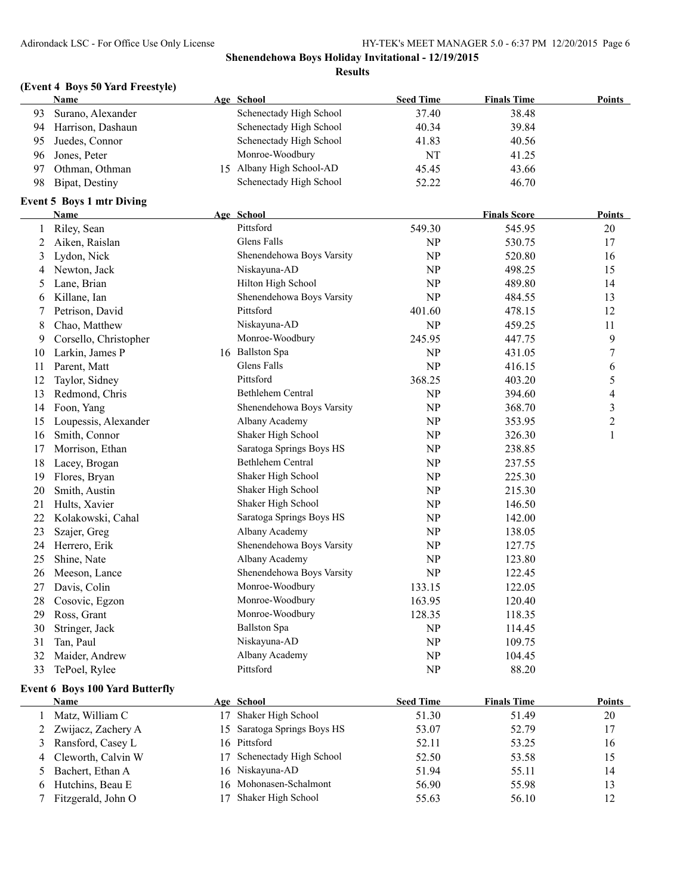## **(Event 4 Boys 50 Yard Freestyle)**

|    | <b>Name</b>                            |    | Age School                          | <b>Seed Time</b> | <b>Finals Time</b>  | Points                   |
|----|----------------------------------------|----|-------------------------------------|------------------|---------------------|--------------------------|
| 93 | Surano, Alexander                      |    | Schenectady High School             | 37.40            | 38.48               |                          |
| 94 | Harrison, Dashaun                      |    | Schenectady High School             | 40.34            | 39.84               |                          |
| 95 | Juedes, Connor                         |    | Schenectady High School             | 41.83            | 40.56               |                          |
| 96 | Jones, Peter                           |    | Monroe-Woodbury                     | NT               | 41.25               |                          |
| 97 | Othman, Othman                         |    | 15 Albany High School-AD            | 45.45            | 43.66               |                          |
| 98 | Bipat, Destiny                         |    | Schenectady High School             | 52.22            | 46.70               |                          |
|    | <b>Event 5 Boys 1 mtr Diving</b>       |    |                                     |                  |                     |                          |
|    | Name                                   |    | Age School                          |                  | <b>Finals Score</b> | <b>Points</b>            |
| 1  | Riley, Sean                            |    | Pittsford                           | 549.30           | 545.95              | 20                       |
| 2  | Aiken, Raislan                         |    | Glens Falls                         | NP               | 530.75              | 17                       |
| 3  | Lydon, Nick                            |    | Shenendehowa Boys Varsity           | NP               | 520.80              | 16                       |
| 4  | Newton, Jack                           |    | Niskayuna-AD                        | NP               | 498.25              | 15                       |
| 5  | Lane, Brian                            |    | Hilton High School                  | NP               | 489.80              | 14                       |
| 6  | Killane, Ian                           |    | Shenendehowa Boys Varsity           | NP               | 484.55              | 13                       |
| 7  | Petrison, David                        |    | Pittsford                           | 401.60           | 478.15              | 12                       |
| 8  | Chao, Matthew                          |    | Niskayuna-AD                        | NP               | 459.25              | 11                       |
| 9  | Corsello, Christopher                  |    | Monroe-Woodbury                     | 245.95           | 447.75              | 9                        |
| 10 | Larkin, James P                        |    | 16 Ballston Spa                     | NP               | 431.05              | $\boldsymbol{7}$         |
| 11 | Parent, Matt                           |    | <b>Glens Falls</b>                  | NP               | 416.15              | 6                        |
| 12 | Taylor, Sidney                         |    | Pittsford                           | 368.25           | 403.20              | 5                        |
| 13 | Redmond, Chris                         |    | Bethlehem Central                   | NP               | 394.60              | $\overline{\mathcal{L}}$ |
| 14 | Foon, Yang                             |    | Shenendehowa Boys Varsity           | NP               | 368.70              | $\overline{\mathbf{3}}$  |
| 15 | Loupessis, Alexander                   |    | Albany Academy                      | NP               | 353.95              | $\overline{c}$           |
| 16 | Smith, Connor                          |    | Shaker High School                  | NP               | 326.30              | $\mathbf{1}$             |
| 17 | Morrison, Ethan                        |    | Saratoga Springs Boys HS            | NP               | 238.85              |                          |
| 18 | Lacey, Brogan                          |    | Bethlehem Central                   | NP               | 237.55              |                          |
| 19 | Flores, Bryan                          |    | Shaker High School                  | NP               | 225.30              |                          |
| 20 | Smith, Austin                          |    | Shaker High School                  | NP               | 215.30              |                          |
| 21 | Hults, Xavier                          |    | Shaker High School                  | NP               | 146.50              |                          |
| 22 | Kolakowski, Cahal                      |    | Saratoga Springs Boys HS            | NP               | 142.00              |                          |
| 23 | Szajer, Greg                           |    | Albany Academy                      | NP               | 138.05              |                          |
| 24 | Herrero, Erik                          |    | Shenendehowa Boys Varsity           | NP               | 127.75              |                          |
| 25 | Shine, Nate                            |    | Albany Academy                      | NP               | 123.80              |                          |
| 26 | Meeson, Lance                          |    | Shenendehowa Boys Varsity           | NP               | 122.45              |                          |
| 27 | Davis, Colin                           |    | Monroe-Woodbury                     | 133.15           | 122.05              |                          |
| 28 | Cosovic, Egzon                         |    | Monroe-Woodbury                     | 163.95           | 120.40              |                          |
| 29 | Ross, Grant                            |    | Monroe-Woodbury                     | 128.35           | 118.35              |                          |
| 30 | Stringer, Jack                         |    | <b>Ballston Spa</b>                 | NP               | 114.45              |                          |
| 31 | Tan, Paul                              |    | Niskayuna-AD                        | NP               | 109.75              |                          |
| 32 | Maider, Andrew                         |    | Albany Academy                      | NP               | 104.45              |                          |
| 33 | TePoel, Rylee                          |    | Pittsford                           | NP               | 88.20               |                          |
|    |                                        |    |                                     |                  |                     |                          |
|    | <b>Event 6 Boys 100 Yard Butterfly</b> |    |                                     |                  |                     |                          |
|    | <u>Name</u>                            |    | Age School<br>17 Shaker High School | <b>Seed Time</b> | <b>Finals Time</b>  | <b>Points</b><br>20      |
| 1  | Matz, William C<br>Zwijacz, Zachery A  |    | 15 Saratoga Springs Boys HS         | 51.30            | 51.49               |                          |
| 2  |                                        |    | 16 Pittsford                        | 53.07            | 52.79               | 17                       |
| 3  | Ransford, Casey L                      |    | Schenectady High School             | 52.11            | 53.25               | 16                       |
| 4  | Cleworth, Calvin W                     | 17 |                                     | 52.50            | 53.58               | 15                       |
| 5  | Bachert, Ethan A                       | 16 | Niskayuna-AD                        | 51.94            | 55.11               | 14                       |
| 6  | Hutchins, Beau E                       | 16 | Mohonasen-Schalmont                 | 56.90            | 55.98               | 13                       |
| 7  | Fitzgerald, John O                     | 17 | Shaker High School                  | 55.63            | 56.10               | 12                       |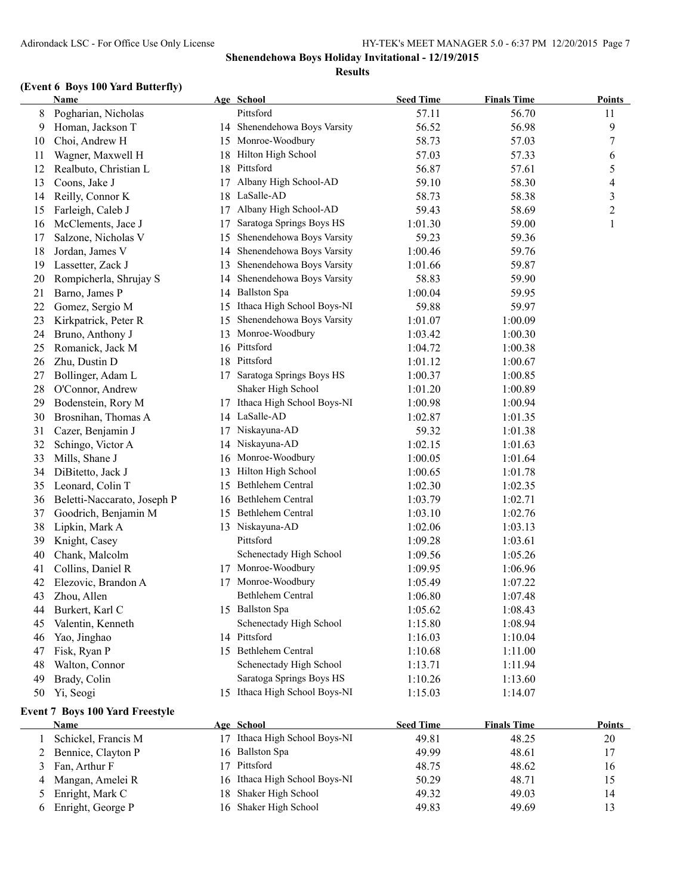### **(Event 6 Boys 100 Yard Butterfly)**

|    | <b>Name</b>                            |    | Age School                    | <b>Seed Time</b> | <b>Finals Time</b> | <b>Points</b> |
|----|----------------------------------------|----|-------------------------------|------------------|--------------------|---------------|
| 8  | Pogharian, Nicholas                    |    | Pittsford                     | 57.11            | 56.70              | 11            |
| 9  | Homan, Jackson T                       |    | 14 Shenendehowa Boys Varsity  | 56.52            | 56.98              | 9             |
| 10 | Choi, Andrew H                         | 15 | Monroe-Woodbury               | 58.73            | 57.03              | 7             |
| 11 | Wagner, Maxwell H                      | 18 | Hilton High School            | 57.03            | 57.33              | 6             |
| 12 | Realbuto, Christian L                  | 18 | Pittsford                     | 56.87            | 57.61              | 5             |
| 13 | Coons, Jake J                          | 17 | Albany High School-AD         | 59.10            | 58.30              | 4             |
| 14 | Reilly, Connor K                       |    | 18 LaSalle-AD                 | 58.73            | 58.38              | 3             |
| 15 | Farleigh, Caleb J                      | 17 | Albany High School-AD         | 59.43            | 58.69              | 2             |
| 16 | McClements, Jace J                     | 17 | Saratoga Springs Boys HS      | 1:01.30          | 59.00              | 1             |
| 17 | Salzone, Nicholas V                    | 15 | Shenendehowa Boys Varsity     | 59.23            | 59.36              |               |
| 18 | Jordan, James V                        | 14 | Shenendehowa Boys Varsity     | 1:00.46          | 59.76              |               |
| 19 | Lassetter, Zack J                      | 13 | Shenendehowa Boys Varsity     | 1:01.66          | 59.87              |               |
| 20 | Rompicherla, Shrujay S                 | 14 | Shenendehowa Boys Varsity     | 58.83            | 59.90              |               |
| 21 | Barno, James P                         | 14 | <b>Ballston Spa</b>           | 1:00.04          | 59.95              |               |
| 22 | Gomez, Sergio M                        |    | 15 Ithaca High School Boys-NI | 59.88            | 59.97              |               |
| 23 | Kirkpatrick, Peter R                   | 15 | Shenendehowa Boys Varsity     | 1:01.07          | 1:00.09            |               |
| 24 | Bruno, Anthony J                       |    | 13 Monroe-Woodbury            | 1:03.42          | 1:00.30            |               |
| 25 | Romanick, Jack M                       |    | 16 Pittsford                  | 1:04.72          | 1:00.38            |               |
| 26 | Zhu, Dustin D                          |    | 18 Pittsford                  | 1:01.12          | 1:00.67            |               |
| 27 | Bollinger, Adam L                      |    | 17 Saratoga Springs Boys HS   | 1:00.37          | 1:00.85            |               |
| 28 | O'Connor, Andrew                       |    | Shaker High School            | 1:01.20          | 1:00.89            |               |
| 29 | Bodenstein, Rory M                     |    | 17 Ithaca High School Boys-NI | 1:00.98          | 1:00.94            |               |
| 30 | Brosnihan, Thomas A                    |    | 14 LaSalle-AD                 | 1:02.87          | 1:01.35            |               |
| 31 | Cazer, Benjamin J                      |    | 17 Niskayuna-AD               | 59.32            | 1:01.38            |               |
| 32 | Schingo, Victor A                      |    | 14 Niskayuna-AD               | 1:02.15          | 1:01.63            |               |
| 33 | Mills, Shane J                         |    | 16 Monroe-Woodbury            | 1:00.05          | 1:01.64            |               |
| 34 | DiBitetto, Jack J                      | 13 | Hilton High School            | 1:00.65          | 1:01.78            |               |
| 35 | Leonard, Colin T                       | 15 | Bethlehem Central             | 1:02.30          | 1:02.35            |               |
| 36 | Beletti-Naccarato, Joseph P            |    | 16 Bethlehem Central          | 1:03.79          | 1:02.71            |               |
| 37 | Goodrich, Benjamin M                   |    | 15 Bethlehem Central          | 1:03.10          | 1:02.76            |               |
| 38 | Lipkin, Mark A                         |    | 13 Niskayuna-AD               | 1:02.06          | 1:03.13            |               |
| 39 | Knight, Casey                          |    | Pittsford                     | 1:09.28          | 1:03.61            |               |
| 40 | Chank, Malcolm                         |    | Schenectady High School       | 1:09.56          | 1:05.26            |               |
| 41 | Collins, Daniel R                      |    | 17 Monroe-Woodbury            | 1:09.95          | 1:06.96            |               |
| 42 | Elezovic, Brandon A                    |    | 17 Monroe-Woodbury            | 1:05.49          | 1:07.22            |               |
| 43 | Zhou, Allen                            |    | Bethlehem Central             | 1:06.80          | 1:07.48            |               |
| 44 | Burkert, Karl C                        |    | 15 Ballston Spa               | 1:05.62          | 1:08.43            |               |
| 45 | Valentin, Kenneth                      |    | Schenectady High School       | 1:15.80          | 1:08.94            |               |
| 46 | Yao, Jinghao                           |    | 14 Pittsford                  | 1:16.03          | 1:10.04            |               |
| 47 | Fisk, Ryan P                           |    | 15 Bethlehem Central          | 1:10.68          | 1:11.00            |               |
| 48 | Walton, Connor                         |    | Schenectady High School       | 1:13.71          | 1:11.94            |               |
| 49 | Brady, Colin                           |    | Saratoga Springs Boys HS      | 1:10.26          | 1:13.60            |               |
| 50 | Yi, Seogi                              |    | 15 Ithaca High School Boys-NI | 1:15.03          | 1:14.07            |               |
|    | <b>Event 7 Boys 100 Yard Freestyle</b> |    |                               |                  |                    |               |
|    | <b>Name</b>                            |    | Age School                    | <b>Seed Time</b> | <b>Finals Time</b> | <b>Points</b> |

| Name                 | Age School                    | Seed Time | <b>Finals</b> lime | <b>POINTS</b> |
|----------------------|-------------------------------|-----------|--------------------|---------------|
| Schickel, Francis M  | Ithaca High School Boys-NI    | 49.81     | 48.25              | 20            |
| 2 Bennice, Clayton P | 16 Ballston Spa               | 49.99     | 48.61              | 17            |
| 3 Fan, Arthur F      | Pittsford                     | 48.75     | 48.62              | 16            |
| 4 Mangan, Amelei R   | 16 Ithaca High School Boys-NI | 50.29     | 48.71              | 15            |
| 5 Enright, Mark C    | 18 Shaker High School         | 49.32     | 49.03              | 14            |
| Enright, George P    | 16 Shaker High School         | 49.83     | 49.69              |               |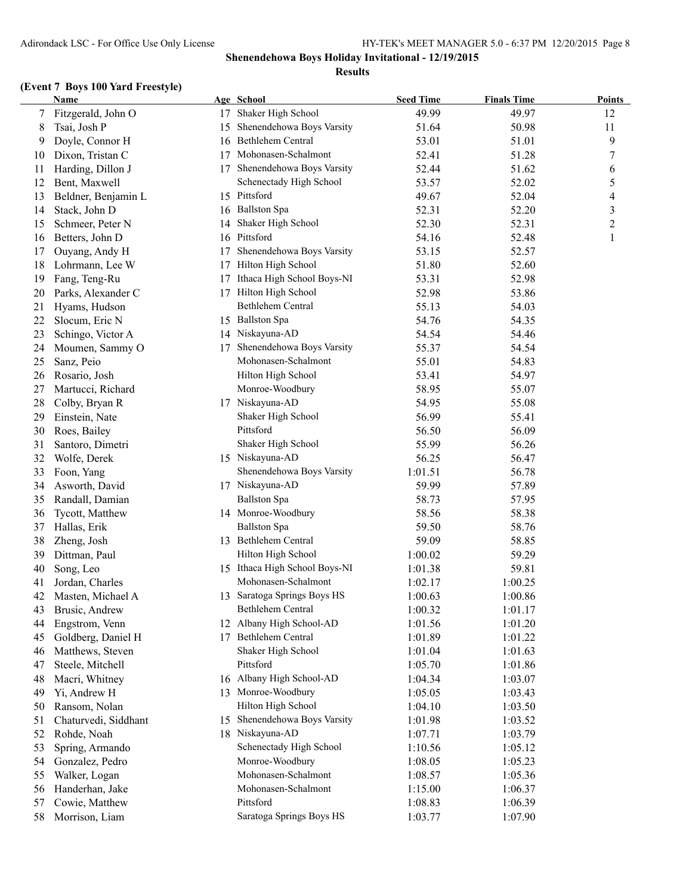#### **(Event 7 Boys 100 Yard Freestyle)**

|    | Name                 |    | Age School                    | <b>Seed Time</b> | <b>Finals Time</b> | <b>Points</b>  |
|----|----------------------|----|-------------------------------|------------------|--------------------|----------------|
|    | Fitzgerald, John O   | 17 | Shaker High School            | 49.99            | 49.97              | 12             |
| 8  | Tsai, Josh P         | 15 | Shenendehowa Boys Varsity     | 51.64            | 50.98              | 11             |
| 9  | Doyle, Connor H      | 16 | Bethlehem Central             | 53.01            | 51.01              | 9              |
| 10 | Dixon, Tristan C     | 17 | Mohonasen-Schalmont           | 52.41            | 51.28              | 7              |
| 11 | Harding, Dillon J    |    | 17 Shenendehowa Boys Varsity  | 52.44            | 51.62              | 6              |
| 12 | Bent, Maxwell        |    | Schenectady High School       | 53.57            | 52.02              | 5              |
| 13 | Beldner, Benjamin L  |    | 15 Pittsford                  | 49.67            | 52.04              | 4              |
| 14 | Stack, John D        |    | 16 Ballston Spa               | 52.31            | 52.20              | 3              |
| 15 | Schmeer, Peter N     |    | 14 Shaker High School         | 52.30            | 52.31              | $\overline{2}$ |
| 16 | Betters, John D      |    | 16 Pittsford                  | 54.16            | 52.48              | 1              |
| 17 | Ouyang, Andy H       | 17 | Shenendehowa Boys Varsity     | 53.15            | 52.57              |                |
| 18 | Lohrmann, Lee W      | 17 | Hilton High School            | 51.80            | 52.60              |                |
| 19 | Fang, Teng-Ru        | 17 | Ithaca High School Boys-NI    | 53.31            | 52.98              |                |
| 20 | Parks, Alexander C   | 17 | Hilton High School            | 52.98            | 53.86              |                |
| 21 | Hyams, Hudson        |    | Bethlehem Central             | 55.13            | 54.03              |                |
| 22 | Slocum, Eric N       |    | 15 Ballston Spa               | 54.76            | 54.35              |                |
| 23 | Schingo, Victor A    |    | 14 Niskayuna-AD               | 54.54            | 54.46              |                |
| 24 | Moumen, Sammy O      | 17 | Shenendehowa Boys Varsity     | 55.37            | 54.54              |                |
| 25 | Sanz, Peio           |    | Mohonasen-Schalmont           | 55.01            | 54.83              |                |
| 26 | Rosario, Josh        |    | Hilton High School            | 53.41            | 54.97              |                |
| 27 | Martucci, Richard    |    | Monroe-Woodbury               | 58.95            | 55.07              |                |
| 28 | Colby, Bryan R       |    | 17 Niskayuna-AD               | 54.95            | 55.08              |                |
| 29 | Einstein, Nate       |    | Shaker High School            | 56.99            | 55.41              |                |
| 30 | Roes, Bailey         |    | Pittsford                     | 56.50            | 56.09              |                |
| 31 | Santoro, Dimetri     |    | Shaker High School            | 55.99            | 56.26              |                |
| 32 | Wolfe, Derek         |    | 15 Niskayuna-AD               | 56.25            | 56.47              |                |
| 33 | Foon, Yang           |    | Shenendehowa Boys Varsity     | 1:01.51          | 56.78              |                |
| 34 | Asworth, David       |    | 17 Niskayuna-AD               | 59.99            | 57.89              |                |
| 35 | Randall, Damian      |    | <b>Ballston Spa</b>           | 58.73            | 57.95              |                |
| 36 | Tycott, Matthew      |    | 14 Monroe-Woodbury            | 58.56            | 58.38              |                |
| 37 | Hallas, Erik         |    | <b>Ballston Spa</b>           | 59.50            | 58.76              |                |
| 38 | Zheng, Josh          |    | 13 Bethlehem Central          | 59.09            | 58.85              |                |
| 39 | Dittman, Paul        |    | Hilton High School            | 1:00.02          | 59.29              |                |
| 40 | Song, Leo            |    | 15 Ithaca High School Boys-NI | 1:01.38          | 59.81              |                |
| 41 | Jordan, Charles      |    | Mohonasen-Schalmont           | 1:02.17          | 1:00.25            |                |
| 42 | Masten, Michael A    |    | 13 Saratoga Springs Boys HS   | 1:00.63          | 1:00.86            |                |
| 43 | Brusic, Andrew       |    | Bethlehem Central             | 1:00.32          | 1:01.17            |                |
| 44 | Engstrom, Venn       |    | 12 Albany High School-AD      | 1:01.56          | 1:01.20            |                |
| 45 | Goldberg, Daniel H   | 17 | Bethlehem Central             | 1:01.89          | 1:01.22            |                |
| 46 | Matthews, Steven     |    | Shaker High School            | 1:01.04          | 1:01.63            |                |
| 47 | Steele, Mitchell     |    | Pittsford                     | 1:05.70          | 1:01.86            |                |
| 48 | Macri, Whitney       |    | 16 Albany High School-AD      | 1:04.34          | 1:03.07            |                |
| 49 | Yi, Andrew H         |    | 13 Monroe-Woodbury            | 1:05.05          | 1:03.43            |                |
| 50 | Ransom, Nolan        |    | Hilton High School            | 1:04.10          | 1:03.50            |                |
| 51 | Chaturvedi, Siddhant |    | 15 Shenendehowa Boys Varsity  | 1:01.98          | 1:03.52            |                |
| 52 | Rohde, Noah          |    | 18 Niskayuna-AD               | 1:07.71          | 1:03.79            |                |
| 53 | Spring, Armando      |    | Schenectady High School       | 1:10.56          | 1:05.12            |                |
| 54 | Gonzalez, Pedro      |    | Monroe-Woodbury               | 1:08.05          | 1:05.23            |                |
| 55 | Walker, Logan        |    | Mohonasen-Schalmont           | 1:08.57          | 1:05.36            |                |
| 56 | Handerhan, Jake      |    | Mohonasen-Schalmont           | 1:15.00          | 1:06.37            |                |
| 57 | Cowie, Matthew       |    | Pittsford                     | 1:08.83          | 1:06.39            |                |
| 58 | Morrison, Liam       |    | Saratoga Springs Boys HS      | 1:03.77          | 1:07.90            |                |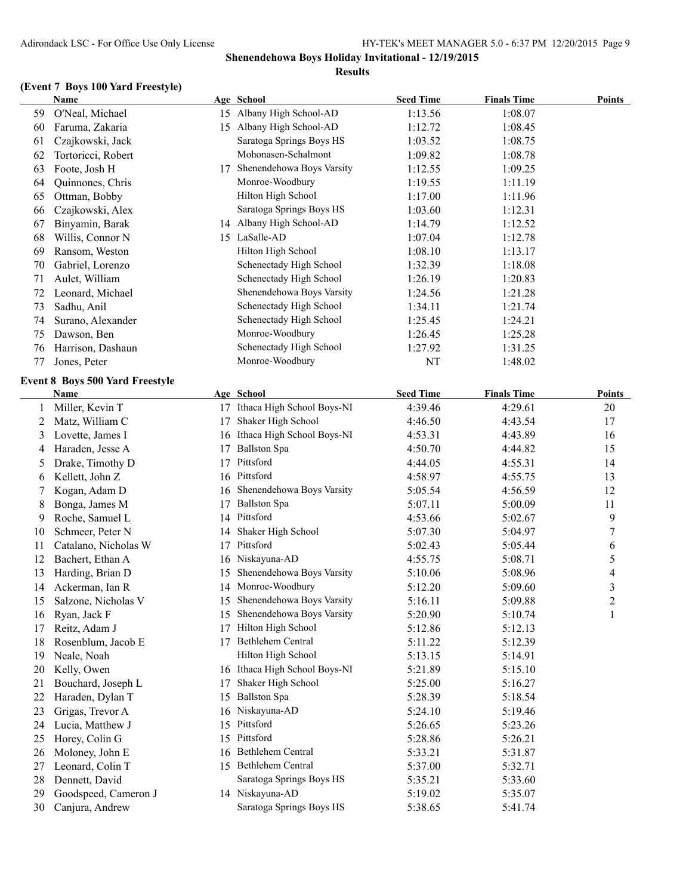## **(Event 7 Boys 100 Yard Freestyle)**

|    | <b>Name</b>                     |    | Age School                    | <b>Seed Time</b> | <b>Finals Time</b> | <b>Points</b>            |
|----|---------------------------------|----|-------------------------------|------------------|--------------------|--------------------------|
| 59 | O'Neal, Michael                 |    | 15 Albany High School-AD      | 1:13.56          | 1:08.07            |                          |
| 60 | Faruma, Zakaria                 |    | 15 Albany High School-AD      | 1:12.72          | 1:08.45            |                          |
| 61 | Czajkowski, Jack                |    | Saratoga Springs Boys HS      | 1:03.52          | 1:08.75            |                          |
| 62 | Tortoricci, Robert              |    | Mohonasen-Schalmont           | 1:09.82          | 1:08.78            |                          |
| 63 | Foote, Josh H                   | 17 | Shenendehowa Boys Varsity     | 1:12.55          | 1:09.25            |                          |
| 64 | Quinnones, Chris                |    | Monroe-Woodbury               | 1:19.55          | 1:11.19            |                          |
| 65 | Ottman, Bobby                   |    | Hilton High School            | 1:17.00          | 1:11.96            |                          |
| 66 | Czajkowski, Alex                |    | Saratoga Springs Boys HS      | 1:03.60          | 1:12.31            |                          |
| 67 | Binyamin, Barak                 |    | 14 Albany High School-AD      | 1:14.79          | 1:12.52            |                          |
| 68 | Willis, Connor N                |    | 15 LaSalle-AD                 | 1:07.04          | 1:12.78            |                          |
| 69 | Ransom, Weston                  |    | Hilton High School            | 1:08.10          | 1:13.17            |                          |
| 70 | Gabriel, Lorenzo                |    | Schenectady High School       | 1:32.39          | 1:18.08            |                          |
| 71 | Aulet, William                  |    | Schenectady High School       | 1:26.19          | 1:20.83            |                          |
| 72 | Leonard, Michael                |    | Shenendehowa Boys Varsity     | 1:24.56          | 1:21.28            |                          |
| 73 | Sadhu, Anil                     |    | Schenectady High School       | 1:34.11          | 1:21.74            |                          |
| 74 | Surano, Alexander               |    | Schenectady High School       | 1:25.45          | 1:24.21            |                          |
| 75 | Dawson, Ben                     |    | Monroe-Woodbury               | 1:26.45          | 1:25.28            |                          |
| 76 | Harrison, Dashaun               |    | Schenectady High School       | 1:27.92          | 1:31.25            |                          |
| 77 | Jones, Peter                    |    | Monroe-Woodbury               | NT               | 1:48.02            |                          |
|    |                                 |    |                               |                  |                    |                          |
|    | Event 8 Boys 500 Yard Freestyle |    |                               |                  |                    |                          |
|    | Name                            |    | Age School                    | <b>Seed Time</b> | <b>Finals Time</b> | <b>Points</b>            |
| 1  | Miller, Kevin T                 |    | 17 Ithaca High School Boys-NI | 4:39.46          | 4:29.61            | 20                       |
| 2  | Matz, William C                 | 17 | Shaker High School            | 4:46.50          | 4:43.54            | 17                       |
| 3  | Lovette, James I                |    | 16 Ithaca High School Boys-NI | 4:53.31          | 4:43.89            | 16                       |
| 4  | Haraden, Jesse A                | 17 | <b>Ballston Spa</b>           | 4:50.70          | 4:44.82            | 15                       |
| 5  | Drake, Timothy D                | 17 | Pittsford                     | 4:44.05          | 4:55.31            | 14                       |
| 6  | Kellett, John Z                 |    | 16 Pittsford                  | 4:58.97          | 4:55.75            | 13                       |
|    | Kogan, Adam D                   |    | 16 Shenendehowa Boys Varsity  | 5:05.54          | 4:56.59            | 12                       |
| 8  | Bonga, James M                  | 17 | <b>Ballston Spa</b>           | 5:07.11          | 5:00.09            | 11                       |
| 9  | Roche, Samuel L                 |    | 14 Pittsford                  | 4:53.66          | 5:02.67            | 9                        |
| 10 | Schmeer, Peter N                |    | 14 Shaker High School         | 5:07.30          | 5:04.97            | $\boldsymbol{7}$         |
| 11 | Catalano, Nicholas W            | 17 | Pittsford                     | 5:02.43          | 5:05.44            | 6                        |
| 12 | Bachert, Ethan A                |    | 16 Niskayuna-AD               | 4:55.75          | 5:08.71            | 5                        |
| 13 | Harding, Brian D                |    | 15 Shenendehowa Boys Varsity  | 5:10.06          | 5:08.96            | $\overline{\mathcal{L}}$ |
| 14 | Ackerman, Ian R                 |    | 14 Monroe-Woodbury            | 5:12.20          | 5:09.60            | 3                        |
| 15 | Salzone, Nicholas V             |    | 15 Shenendehowa Boys Varsity  | 5:16.11          | 5:09.88            | $\overline{c}$           |
| 16 | Ryan, Jack F                    |    | 15 Shenendehowa Boys Varsity  | 5:20.90          | 5:10.74            | 1                        |
| 17 | Reitz, Adam J                   | 17 | Hilton High School            | 5:12.86          | 5:12.13            |                          |
| 18 | Rosenblum, Jacob E              | 17 | Bethlehem Central             | 5:11.22          | 5:12.39            |                          |
| 19 | Neale, Noah                     |    | Hilton High School            | 5:13.15          | 5:14.91            |                          |
| 20 | Kelly, Owen                     |    | 16 Ithaca High School Boys-NI | 5:21.89          | 5:15.10            |                          |
| 21 | Bouchard, Joseph L              | 17 | Shaker High School            | 5:25.00          | 5:16.27            |                          |
| 22 | Haraden, Dylan T                | 15 | <b>Ballston Spa</b>           | 5:28.39          | 5:18.54            |                          |
| 23 | Grigas, Trevor A                |    | 16 Niskayuna-AD               | 5:24.10          | 5:19.46            |                          |
| 24 | Lucia, Matthew J                | 15 | Pittsford                     | 5:26.65          | 5:23.26            |                          |
| 25 | Horey, Colin G                  |    | 15 Pittsford                  | 5:28.86          | 5:26.21            |                          |
| 26 | Moloney, John E                 |    | 16 Bethlehem Central          | 5:33.21          | 5:31.87            |                          |
| 27 | Leonard, Colin T                |    | 15 Bethlehem Central          | 5:37.00          | 5:32.71            |                          |
| 28 | Dennett, David                  |    | Saratoga Springs Boys HS      | 5:35.21          | 5:33.60            |                          |
| 29 | Goodspeed, Cameron J            |    | 14 Niskayuna-AD               | 5:19.02          | 5:35.07            |                          |
| 30 | Canjura, Andrew                 |    | Saratoga Springs Boys HS      | 5:38.65          | 5:41.74            |                          |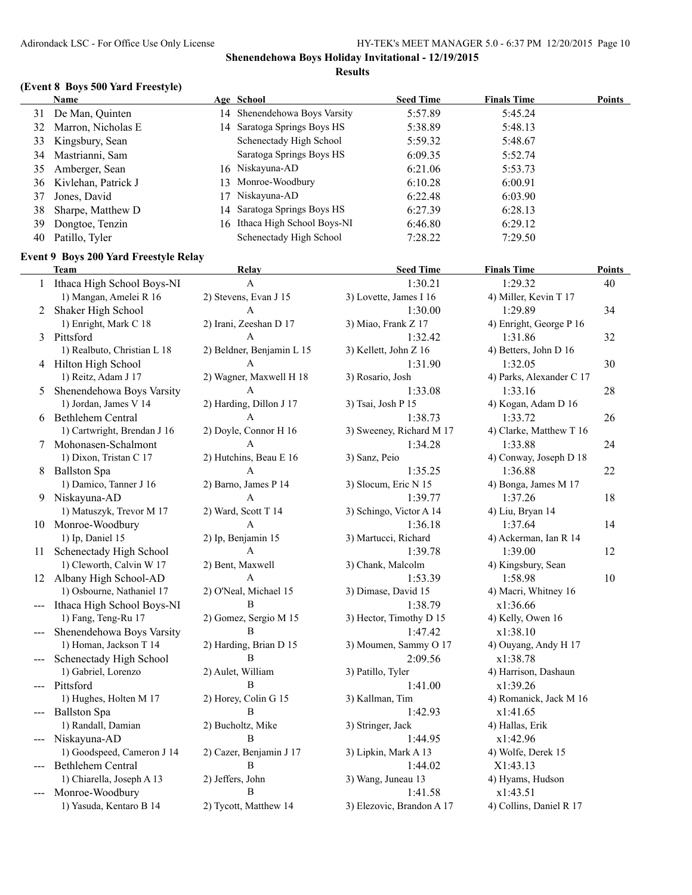## **(Event 8 Boys 500 Yard Freestyle)**

|    | Name                   | Age School                    | <b>Seed Time</b> | <b>Finals Time</b> | Points |
|----|------------------------|-------------------------------|------------------|--------------------|--------|
| 31 | De Man, Quinten        | 14 Shenendehowa Boys Varsity  | 5:57.89          | 5:45.24            |        |
| 32 | Marron, Nicholas E     | 14 Saratoga Springs Boys HS   | 5:38.89          | 5:48.13            |        |
| 33 | Kingsbury, Sean        | Schenectady High School       | 5:59.32          | 5:48.67            |        |
| 34 | Mastrianni, Sam        | Saratoga Springs Boys HS      | 6:09.35          | 5:52.74            |        |
| 35 | Amberger, Sean         | 16 Niskayuna-AD               | 6:21.06          | 5:53.73            |        |
|    | 36 Kivlehan, Patrick J | 13 Monroe-Woodbury            | 6:10.28          | 6:00.91            |        |
| 37 | Jones, David           | Niskayuna-AD                  | 6:22.48          | 6:03.90            |        |
| 38 | Sharpe, Matthew D      | 14 Saratoga Springs Boys HS   | 6:27.39          | 6:28.13            |        |
| 39 | Dongtoe, Tenzin        | 16 Ithaca High School Boys-NI | 6:46.80          | 6:29.12            |        |
| 40 | Patillo, Tyler         | Schenectady High School       | 7:28.22          | 7:29.50            |        |

## **Event 9 Boys 200 Yard Freestyle Relay**

|               | <b>Team</b>                  | Relay                     | <b>Seed Time</b>          | <b>Finals Time</b>       | <b>Points</b> |
|---------------|------------------------------|---------------------------|---------------------------|--------------------------|---------------|
|               | 1 Ithaca High School Boys-NI | A                         | 1:30.21                   | 1:29.32                  | 40            |
|               | 1) Mangan, Amelei R 16       | 2) Stevens, Evan J 15     | 3) Lovette, James I 16    | 4) Miller, Kevin T 17    |               |
| 2             | Shaker High School           | A                         | 1:30.00                   | 1:29.89                  | 34            |
|               | 1) Enright, Mark C 18        | 2) Irani, Zeeshan D 17    | 3) Miao, Frank Z 17       | 4) Enright, George P 16  |               |
| 3             | Pittsford                    | $\mathbf{A}$              | 1:32.42                   | 1:31.86                  | 32            |
|               | 1) Realbuto, Christian L 18  | 2) Beldner, Benjamin L 15 | 3) Kellett, John Z 16     | 4) Betters, John D 16    |               |
| 4             | Hilton High School           | A                         | 1:31.90                   | 1:32.05                  | 30            |
|               | 1) Reitz, Adam J 17          | 2) Wagner, Maxwell H 18   | 3) Rosario, Josh          | 4) Parks, Alexander C 17 |               |
| 5             | Shenendehowa Boys Varsity    | A                         | 1:33.08                   | 1:33.16                  | 28            |
|               | 1) Jordan, James V 14        | 2) Harding, Dillon J 17   | 3) Tsai, Josh P 15        | 4) Kogan, Adam D 16      |               |
| 6             | <b>Bethlehem Central</b>     | A                         | 1:38.73                   | 1:33.72                  | 26            |
|               | 1) Cartwright, Brendan J 16  | 2) Doyle, Connor H 16     | 3) Sweeney, Richard M 17  | 4) Clarke, Matthew T 16  |               |
| 7             | Mohonasen-Schalmont          | A                         | 1:34.28                   | 1:33.88                  | 24            |
|               | 1) Dixon, Tristan C 17       | 2) Hutchins, Beau E 16    | 3) Sanz, Peio             | 4) Conway, Joseph D 18   |               |
| 8             | <b>Ballston Spa</b>          | A                         | 1:35.25                   | 1:36.88                  | 22            |
|               | 1) Damico, Tanner J 16       | 2) Barno, James P 14      | 3) Slocum, Eric N 15      | 4) Bonga, James M 17     |               |
| 9             | Niskayuna-AD                 | A                         | 1:39.77                   | 1:37.26                  | 18            |
|               | 1) Matuszyk, Trevor M 17     | 2) Ward, Scott T 14       | 3) Schingo, Victor A 14   | 4) Liu, Bryan 14         |               |
|               | 10 Monroe-Woodbury           | A                         | 1:36.18                   | 1:37.64                  | 14            |
|               | 1) Ip, Daniel 15             | 2) Ip, Benjamin 15        | 3) Martucci, Richard      | 4) Ackerman, Ian R 14    |               |
| 11            | Schenectady High School      | A                         | 1:39.78                   | 1:39.00                  | 12            |
|               | 1) Cleworth, Calvin W 17     | 2) Bent, Maxwell          | 3) Chank, Malcolm         | 4) Kingsbury, Sean       |               |
| 12            | Albany High School-AD        | A                         | 1:53.39                   | 1:58.98                  | 10            |
|               | 1) Osbourne, Nathaniel 17    | 2) O'Neal, Michael 15     | 3) Dimase, David 15       | 4) Macri, Whitney 16     |               |
|               | Ithaca High School Boys-NI   | B                         | 1:38.79                   | x1:36.66                 |               |
|               | 1) Fang, Teng-Ru 17          | 2) Gomez, Sergio M 15     | 3) Hector, Timothy D 15   | 4) Kelly, Owen 16        |               |
|               | Shenendehowa Boys Varsity    | B                         | 1:47.42                   | x1:38.10                 |               |
|               | 1) Homan, Jackson T 14       | 2) Harding, Brian D 15    | 3) Moumen, Sammy O 17     | 4) Ouyang, Andy H 17     |               |
|               | Schenectady High School      | B                         | 2:09.56                   | x1:38.78                 |               |
|               | 1) Gabriel, Lorenzo          | 2) Aulet, William         | 3) Patillo, Tyler         | 4) Harrison, Dashaun     |               |
|               | Pittsford                    | B                         | 1:41.00                   | x1:39.26                 |               |
|               | 1) Hughes, Holten M 17       | 2) Horey, Colin G 15      | 3) Kallman, Tim           | 4) Romanick, Jack M 16   |               |
|               | <b>Ballston Spa</b>          | B                         | 1:42.93                   | x1:41.65                 |               |
|               | 1) Randall, Damian           | 2) Bucholtz, Mike         | 3) Stringer, Jack         | 4) Hallas, Erik          |               |
| $\frac{1}{2}$ | Niskayuna-AD                 | B                         | 1:44.95                   | x1:42.96                 |               |
|               | 1) Goodspeed, Cameron J 14   | 2) Cazer, Benjamin J 17   | 3) Lipkin, Mark A 13      | 4) Wolfe, Derek 15       |               |
|               | <b>Bethlehem Central</b>     | B                         | 1:44.02                   | X1:43.13                 |               |
|               | 1) Chiarella, Joseph A 13    | 2) Jeffers, John          | 3) Wang, Juneau 13        | 4) Hyams, Hudson         |               |
|               | Monroe-Woodbury              | B                         | 1:41.58                   | x1:43.51                 |               |
|               | 1) Yasuda, Kentaro B 14      | 2) Tycott, Matthew 14     | 3) Elezovic, Brandon A 17 | 4) Collins, Daniel R 17  |               |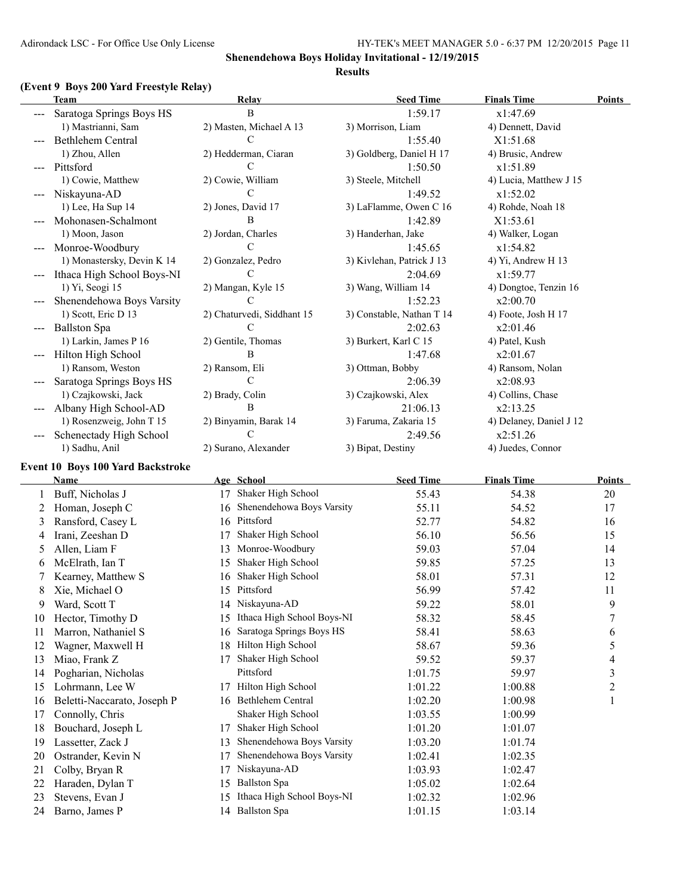#### **(Event 9 Boys 200 Yard Freestyle Relay)**

|                   | <b>Team</b>                        | Relay                                         | <b>Seed Time</b>          | <b>Finals Time</b>      | <b>Points</b>  |
|-------------------|------------------------------------|-----------------------------------------------|---------------------------|-------------------------|----------------|
|                   | Saratoga Springs Boys HS           | $\, {\bf B}$                                  | 1:59.17                   | x1:47.69                |                |
|                   | 1) Mastrianni, Sam                 | 2) Masten, Michael A 13                       | 3) Morrison, Liam         | 4) Dennett, David       |                |
|                   | Bethlehem Central                  | C                                             | 1:55.40                   | X1:51.68                |                |
|                   | 1) Zhou, Allen                     | 2) Hedderman, Ciaran                          | 3) Goldberg, Daniel H 17  | 4) Brusic, Andrew       |                |
| $\qquad \qquad -$ | Pittsford                          | C                                             | 1:50.50                   | x1:51.89                |                |
|                   | 1) Cowie, Matthew                  | 2) Cowie, William                             | 3) Steele, Mitchell       | 4) Lucia, Matthew J 15  |                |
|                   | Niskayuna-AD                       | C                                             | 1:49.52                   | x1:52.02                |                |
|                   | 1) Lee, Ha Sup 14                  | 2) Jones, David 17                            | 3) LaFlamme, Owen C 16    | 4) Rohde, Noah 18       |                |
|                   | Mohonasen-Schalmont                | B                                             | 1:42.89                   | X1:53.61                |                |
|                   | 1) Moon, Jason                     | 2) Jordan, Charles                            | 3) Handerhan, Jake        | 4) Walker, Logan        |                |
|                   | Monroe-Woodbury                    | C                                             | 1:45.65                   | x1:54.82                |                |
|                   | 1) Monastersky, Devin K 14         | 2) Gonzalez, Pedro                            | 3) Kivlehan, Patrick J 13 | 4) Yi, Andrew H 13      |                |
|                   | Ithaca High School Boys-NI         | C                                             | 2:04.69                   | x1:59.77                |                |
|                   | 1) Yi, Seogi 15                    | 2) Mangan, Kyle 15                            | 3) Wang, William 14       | 4) Dongtoe, Tenzin 16   |                |
|                   | Shenendehowa Boys Varsity          | C                                             | 1:52.23                   | x2:00.70                |                |
|                   | 1) Scott, Eric D 13                | 2) Chaturvedi, Siddhant 15                    | 3) Constable, Nathan T 14 | 4) Foote, Josh H 17     |                |
|                   | <b>Ballston Spa</b>                | C                                             | 2:02.63                   | x2:01.46                |                |
|                   | 1) Larkin, James P 16              | 2) Gentile, Thomas                            | 3) Burkert, Karl C 15     | 4) Patel, Kush          |                |
|                   | Hilton High School                 | В                                             | 1:47.68                   | x2:01.67                |                |
|                   | 1) Ransom, Weston                  | 2) Ransom, Eli                                | 3) Ottman, Bobby          | 4) Ransom, Nolan        |                |
|                   | Saratoga Springs Boys HS           | C                                             | 2:06.39                   | x2:08.93                |                |
|                   | 1) Czajkowski, Jack                | 2) Brady, Colin                               | 3) Czajkowski, Alex       | 4) Collins, Chase       |                |
|                   | Albany High School-AD              | В                                             | 21:06.13                  | x2:13.25                |                |
|                   | 1) Rosenzweig, John T 15           | 2) Binyamin, Barak 14                         | 3) Faruma, Zakaria 15     | 4) Delaney, Daniel J 12 |                |
|                   | Schenectady High School            | C                                             | 2:49.56                   | x2:51.26                |                |
|                   | 1) Sadhu, Anil                     | 2) Surano, Alexander                          | 3) Bipat, Destiny         | 4) Juedes, Connor       |                |
|                   | Event 10 Boys 100 Yard Backstroke  |                                               |                           |                         |                |
|                   | <b>Name</b>                        | Age School                                    | <b>Seed Time</b>          | <b>Finals Time</b>      | <b>Points</b>  |
|                   | Buff, Nicholas J                   | Shaker High School<br>17                      | 55.43                     | 54.38                   | 20             |
| 2                 | Homan, Joseph C                    | 16 Shenendehowa Boys Varsity                  | 55.11                     | 54.52                   | 17             |
| 3                 | Ransford, Casey L                  | 16 Pittsford                                  | 52.77                     | 54.82                   | 16             |
| 4                 | Irani, Zeeshan D                   | Shaker High School<br>17                      | 56.10                     | 56.56                   | 15             |
| 5                 | Allen, Liam F                      | Monroe-Woodbury<br>13                         | 59.03                     | 57.04                   | 14             |
| 6                 | McElrath, Ian T                    | Shaker High School<br>15                      | 59.85                     | 57.25                   | 13             |
|                   |                                    | Shaker High School                            | 58.01                     | 57.31                   | 12             |
|                   | Kearney, Matthew S                 | 16<br>15 Pittsford                            | 56.99                     | 57.42                   | 11             |
| 8                 | Xie, Michael O                     |                                               |                           |                         |                |
| 9                 | Ward, Scott T                      | 14 Niskayuna-AD<br>Ithaca High School Boys-NI | 59.22                     | 58.01                   | 9              |
| 10                | Hector, Timothy D                  | 15                                            | 58.32                     | 58.45                   | 7              |
| 11                | Marron, Nathaniel S                | Saratoga Springs Boys HS<br>16                | 58.41                     | 58.63                   | 6              |
| 12                | Wagner, Maxwell H                  | 18 Hilton High School                         | 58.67                     | 59.36                   | 5              |
| 13                | Miao, Frank Z                      | Shaker High School<br>17                      | 59.52                     | 59.37                   | $\overline{4}$ |
| 14                | Pogharian, Nicholas                | Pittsford                                     | 1:01.75                   | 59.97                   | 3              |
| 15                | Lohrmann, Lee W                    | Hilton High School<br>17                      | 1:01.22                   | 1:00.88                 | $\overline{c}$ |
| 16                | Beletti-Naccarato, Joseph P        | Bethlehem Central<br>16                       | 1:02.20                   | 1:00.98                 | 1              |
| 17                | Connolly, Chris                    | Shaker High School                            | 1:03.55                   | 1:00.99                 |                |
| 18                | Bouchard, Joseph L                 | Shaker High School<br>17                      | 1:01.20                   | 1:01.07                 |                |
| 19                | Lassetter, Zack J                  | Shenendehowa Boys Varsity<br>13               | 1:03.20                   | 1:01.74                 |                |
| 20                | Ostrander, Kevin N                 | Shenendehowa Boys Varsity<br>17               | 1:02.41                   | 1:02.35                 |                |
|                   |                                    |                                               |                           |                         |                |
| 21<br>22          | Colby, Bryan R<br>Haraden, Dylan T | Niskayuna-AD<br>17<br>15 Ballston Spa         | 1:03.93<br>1:05.02        | 1:02.47<br>1:02.64      |                |

- 
- 22 Haraden, Dylan T 15 Ballston Spa 1:05.02 1:02.64
- 23 Stevens, Evan J 15 Ithaca High School Boys-NI 1:02.32 1:02.96
- 24 Barno, James P 14 Ballston Spa 1:01.15 1:03.14
	-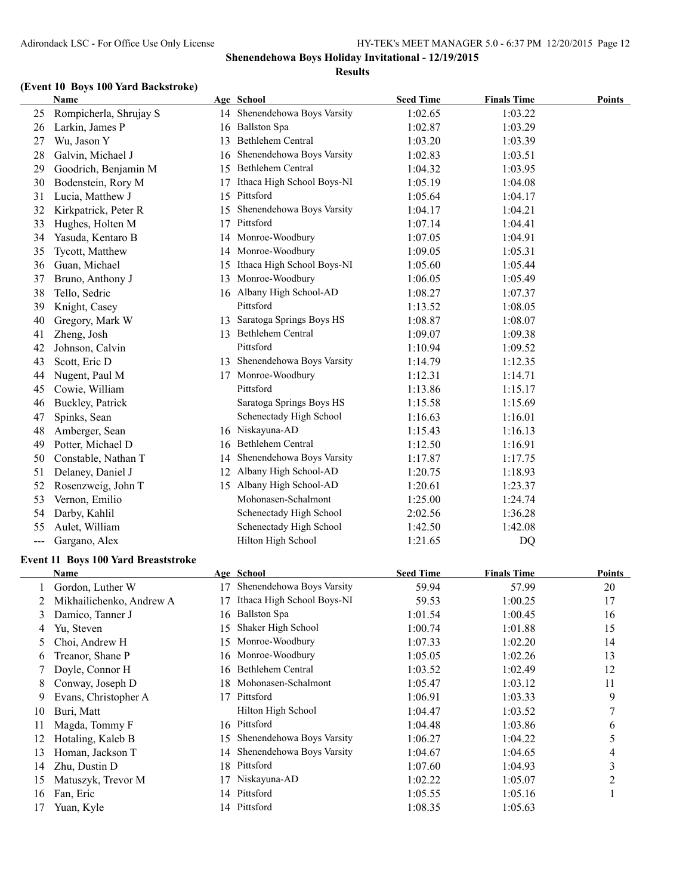### **(Event 10 Boys 100 Yard Backstroke)**

|                | Name                                |    | Age School                                      | <b>Seed Time</b> | <b>Finals Time</b> | <b>Points</b>            |
|----------------|-------------------------------------|----|-------------------------------------------------|------------------|--------------------|--------------------------|
| 25             | Rompicherla, Shrujay S              |    | 14 Shenendehowa Boys Varsity                    | 1:02.65          | 1:03.22            |                          |
| 26             | Larkin, James P                     |    | 16 Ballston Spa                                 | 1:02.87          | 1:03.29            |                          |
| 27             | Wu, Jason Y                         | 13 | Bethlehem Central                               | 1:03.20          | 1:03.39            |                          |
| 28             | Galvin, Michael J                   | 16 | Shenendehowa Boys Varsity                       | 1:02.83          | 1:03.51            |                          |
| 29             | Goodrich, Benjamin M                | 15 | Bethlehem Central                               | 1:04.32          | 1:03.95            |                          |
| 30             | Bodenstein, Rory M                  | 17 | Ithaca High School Boys-NI                      | 1:05.19          | 1:04.08            |                          |
| 31             | Lucia, Matthew J                    | 15 | Pittsford                                       | 1:05.64          | 1:04.17            |                          |
| 32             | Kirkpatrick, Peter R                | 15 | Shenendehowa Boys Varsity                       | 1:04.17          | 1:04.21            |                          |
| 33             | Hughes, Holten M                    | 17 | Pittsford                                       | 1:07.14          | 1:04.41            |                          |
| 34             | Yasuda, Kentaro B                   |    | 14 Monroe-Woodbury                              | 1:07.05          | 1:04.91            |                          |
| 35             | Tycott, Matthew                     |    | 14 Monroe-Woodbury                              | 1:09.05          | 1:05.31            |                          |
| 36             | Guan, Michael                       | 15 | Ithaca High School Boys-NI                      | 1:05.60          | 1:05.44            |                          |
| 37             | Bruno, Anthony J                    | 13 | Monroe-Woodbury                                 | 1:06.05          | 1:05.49            |                          |
| 38             | Tello, Sedric                       |    | 16 Albany High School-AD                        | 1:08.27          | 1:07.37            |                          |
| 39             | Knight, Casey                       |    | Pittsford                                       | 1:13.52          | 1:08.05            |                          |
| 40             | Gregory, Mark W                     | 13 | Saratoga Springs Boys HS                        | 1:08.87          | 1:08.07            |                          |
| 41             | Zheng, Josh                         |    | 13 Bethlehem Central                            | 1:09.07          | 1:09.38            |                          |
| 42             | Johnson, Calvin                     |    | Pittsford                                       | 1:10.94          | 1:09.52            |                          |
| 43             | Scott, Eric D                       |    | 13 Shenendehowa Boys Varsity                    | 1:14.79          | 1:12.35            |                          |
| 44             | Nugent, Paul M                      | 17 | Monroe-Woodbury                                 | 1:12.31          | 1:14.71            |                          |
| 45             | Cowie, William                      |    | Pittsford                                       | 1:13.86          | 1:15.17            |                          |
| 46             | Buckley, Patrick                    |    | Saratoga Springs Boys HS                        | 1:15.58          | 1:15.69            |                          |
| 47             | Spinks, Sean                        |    | Schenectady High School                         | 1:16.63          | 1:16.01            |                          |
| 48             | Amberger, Sean                      |    | 16 Niskayuna-AD                                 | 1:15.43          | 1:16.13            |                          |
| 49             |                                     | 16 | Bethlehem Central                               | 1:12.50          | 1:16.91            |                          |
| 50             | Potter, Michael D                   |    | 14 Shenendehowa Boys Varsity                    | 1:17.87          | 1:17.75            |                          |
|                | Constable, Nathan T                 |    | 12 Albany High School-AD                        |                  |                    |                          |
| 51             | Delaney, Daniel J                   |    |                                                 | 1:20.75          | 1:18.93            |                          |
| 52             | Rosenzweig, John T                  |    | 15 Albany High School-AD<br>Mohonasen-Schalmont | 1:20.61          | 1:23.37            |                          |
| 53             | Vernon, Emilio                      |    |                                                 | 1:25.00          | 1:24.74            |                          |
| 54             | Darby, Kahlil                       |    | Schenectady High School                         | 2:02.56          | 1:36.28            |                          |
| 55             | Aulet, William                      |    | Schenectady High School                         | 1:42.50          | 1:42.08            |                          |
| $\frac{1}{2}$  | Gargano, Alex                       |    | Hilton High School                              | 1:21.65          | DQ                 |                          |
|                | Event 11 Boys 100 Yard Breaststroke |    |                                                 |                  |                    |                          |
|                | Name                                |    | Age School                                      | <b>Seed Time</b> | <b>Finals Time</b> | Points                   |
|                | Gordon, Luther W                    |    | 17 Shenendehowa Boys Varsity                    | 59.94            | 57.99              | 20                       |
| $\overline{2}$ | Mikhailichenko, Andrew A            |    | 17 Ithaca High School Boys-NI                   | 59.53            | 1:00.25            | 17                       |
| 3              | Damico, Tanner J                    |    | 16 Ballston Spa                                 | 1:01.54          | 1:00.45            | 16                       |
| 4              | Yu, Steven                          | 15 | Shaker High School                              | 1:00.74          | 1:01.88            | 15                       |
| 5              | Choi, Andrew H                      | 15 | Monroe-Woodbury                                 | 1:07.33          | 1:02.20            | 14                       |
| 6              | Treanor, Shane P                    | 16 | Monroe-Woodbury                                 | 1:05.05          | 1:02.26            | 13                       |
| 7              | Doyle, Connor H                     | 16 | Bethlehem Central                               | 1:03.52          | 1:02.49            | 12                       |
| 8              | Conway, Joseph D                    | 18 | Mohonasen-Schalmont                             | 1:05.47          | 1:03.12            | 11                       |
| 9              | Evans, Christopher A                |    | 17 Pittsford                                    | 1:06.91          | 1:03.33            | 9                        |
| 10             | Buri, Matt                          |    | Hilton High School                              | 1:04.47          | 1:03.52            | 7                        |
| 11             | Magda, Tommy F                      |    | 16 Pittsford                                    | 1:04.48          | 1:03.86            | 6                        |
| 12             | Hotaling, Kaleb B                   | 15 | Shenendehowa Boys Varsity                       | 1:06.27          | 1:04.22            | 5                        |
| 13             | Homan, Jackson T                    | 14 | Shenendehowa Boys Varsity                       | 1:04.67          | 1:04.65            | $\overline{\mathcal{L}}$ |
| 14             | Zhu, Dustin D                       |    | 18 Pittsford                                    | 1:07.60          | 1:04.93            | 3                        |
| 15             | Matuszyk, Trevor M                  |    | 17 Niskayuna-AD                                 | 1:02.22          | 1:05.07            | $\overline{c}$           |
| 16             | Fan, Eric                           |    | 14 Pittsford                                    | 1:05.55          | 1:05.16            | 1                        |
| 17             | Yuan, Kyle                          |    | 14 Pittsford                                    | 1:08.35          | 1:05.63            |                          |
|                |                                     |    |                                                 |                  |                    |                          |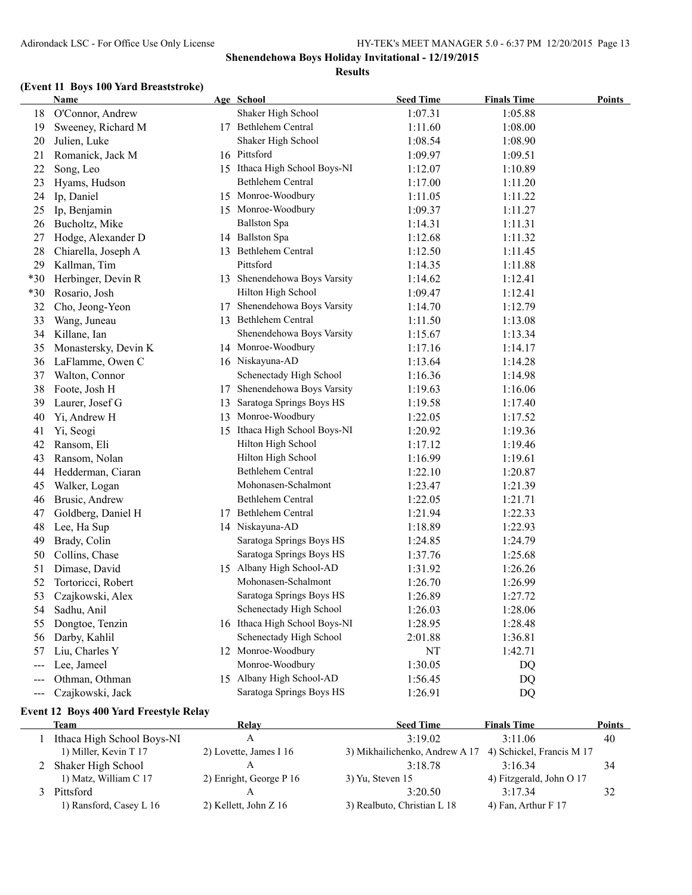# **(Event 11 Boys 100 Yard Breaststroke)**

|       | Name                 |    | Age School                    | <b>Seed Time</b> | <b>Finals Time</b> | <b>Points</b> |
|-------|----------------------|----|-------------------------------|------------------|--------------------|---------------|
| 18    | O'Connor, Andrew     |    | Shaker High School            | 1:07.31          | 1:05.88            |               |
| 19    | Sweeney, Richard M   |    | 17 Bethlehem Central          | 1:11.60          | 1:08.00            |               |
| 20    | Julien, Luke         |    | Shaker High School            | 1:08.54          | 1:08.90            |               |
| 21    | Romanick, Jack M     |    | 16 Pittsford                  | 1:09.97          | 1:09.51            |               |
| 22    | Song, Leo            |    | 15 Ithaca High School Boys-NI | 1:12.07          | 1:10.89            |               |
| 23    | Hyams, Hudson        |    | Bethlehem Central             | 1:17.00          | 1:11.20            |               |
| 24    | Ip, Daniel           |    | 15 Monroe-Woodbury            | 1:11.05          | 1:11.22            |               |
| 25    | Ip, Benjamin         |    | 15 Monroe-Woodbury            | 1:09.37          | 1:11.27            |               |
| 26    | Bucholtz, Mike       |    | <b>Ballston Spa</b>           | 1:14.31          | 1:11.31            |               |
| 27    | Hodge, Alexander D   |    | 14 Ballston Spa               | 1:12.68          | 1:11.32            |               |
| 28    | Chiarella, Joseph A  |    | 13 Bethlehem Central          | 1:12.50          | 1:11.45            |               |
| 29    | Kallman, Tim         |    | Pittsford                     | 1:14.35          | 1:11.88            |               |
| *30   | Herbinger, Devin R   |    | 13 Shenendehowa Boys Varsity  | 1:14.62          | 1:12.41            |               |
| $*30$ | Rosario, Josh        |    | Hilton High School            | 1:09.47          | 1:12.41            |               |
| 32    | Cho, Jeong-Yeon      | 17 | Shenendehowa Boys Varsity     | 1:14.70          | 1:12.79            |               |
| 33    | Wang, Juneau         |    | 13 Bethlehem Central          | 1:11.50          | 1:13.08            |               |
| 34    | Killane, Ian         |    | Shenendehowa Boys Varsity     | 1:15.67          | 1:13.34            |               |
| 35    | Monastersky, Devin K |    | 14 Monroe-Woodbury            | 1:17.16          | 1:14.17            |               |
| 36    | LaFlamme, Owen C     |    | 16 Niskayuna-AD               | 1:13.64          | 1:14.28            |               |
| 37    | Walton, Connor       |    | Schenectady High School       | 1:16.36          | 1:14.98            |               |
| 38    | Foote, Josh H        | 17 | Shenendehowa Boys Varsity     | 1:19.63          | 1:16.06            |               |
| 39    | Laurer, Josef G      | 13 | Saratoga Springs Boys HS      | 1:19.58          | 1:17.40            |               |
| 40    | Yi, Andrew H         |    | 13 Monroe-Woodbury            | 1:22.05          | 1:17.52            |               |
| 41    | Yi, Seogi            |    | 15 Ithaca High School Boys-NI | 1:20.92          | 1:19.36            |               |
| 42    | Ransom, Eli          |    | Hilton High School            | 1:17.12          | 1:19.46            |               |
| 43    | Ransom, Nolan        |    | Hilton High School            | 1:16.99          | 1:19.61            |               |
| 44    | Hedderman, Ciaran    |    | Bethlehem Central             | 1:22.10          | 1:20.87            |               |
| 45    | Walker, Logan        |    | Mohonasen-Schalmont           | 1:23.47          | 1:21.39            |               |
| 46    | Brusic, Andrew       |    | Bethlehem Central             | 1:22.05          | 1:21.71            |               |
| 47    | Goldberg, Daniel H   | 17 | Bethlehem Central             | 1:21.94          | 1:22.33            |               |
| 48    | Lee, Ha Sup          |    | 14 Niskayuna-AD               | 1:18.89          | 1:22.93            |               |
| 49    | Brady, Colin         |    | Saratoga Springs Boys HS      | 1:24.85          | 1:24.79            |               |
| 50    | Collins, Chase       |    | Saratoga Springs Boys HS      | 1:37.76          | 1:25.68            |               |
| 51    | Dimase, David        |    | 15 Albany High School-AD      | 1:31.92          | 1:26.26            |               |
| 52    | Tortoricci, Robert   |    | Mohonasen-Schalmont           | 1:26.70          | 1:26.99            |               |
| 53    | Czajkowski, Alex     |    | Saratoga Springs Boys HS      | 1:26.89          | 1:27.72            |               |
| 54    | Sadhu, Anil          |    | Schenectady High School       | 1:26.03          | 1:28.06            |               |
| 55    | Dongtoe, Tenzin      |    | 16 Ithaca High School Boys-NI | 1:28.95          | 1:28.48            |               |
| 56    | Darby, Kahlil        |    | Schenectady High School       | 2:01.88          | 1:36.81            |               |
| 57    | Liu, Charles Y       |    | 12 Monroe-Woodbury            | <b>NT</b>        | 1:42.71            |               |
| ---   | Lee, Jameel          |    | Monroe-Woodbury               | 1:30.05          | DQ                 |               |
| ---   | Othman, Othman       |    | 15 Albany High School-AD      | 1:56.45          | DQ                 |               |
| $---$ | Czajkowski, Jack     |    | Saratoga Springs Boys HS      | 1:26.91          | DQ                 |               |
|       |                      |    |                               |                  |                    |               |

### **Event 12 Boys 400 Yard Freestyle Relay**

| Team                       | Relay                   | <b>Seed Time</b>                                         | <b>Finals Time</b>       | <b>Points</b> |
|----------------------------|-------------------------|----------------------------------------------------------|--------------------------|---------------|
| Ithaca High School Boys-NI |                         | 3.1902                                                   | $3.11\,06$               | 40            |
| 1) Miller, Kevin T 17      | 2) Lovette, James I 16  | 3) Mikhailichenko, Andrew A 17 4) Schickel, Francis M 17 |                          |               |
| 2 Shaker High School       |                         | 3.1878                                                   | 3.1634                   | 34            |
| 1) Matz, William C 17      | 2) Enright, George P 16 | $3)$ Yu, Steven 15                                       | 4) Fitzgerald, John O 17 |               |
| Pittsford                  |                         | 3:20.50                                                  | 3.1734                   | 32            |
| 1) Ransford, Casey L 16    | 2) Kellett, John Z 16   | 3) Realbuto, Christian L 18                              | 4) Fan, Arthur $F$ 17    |               |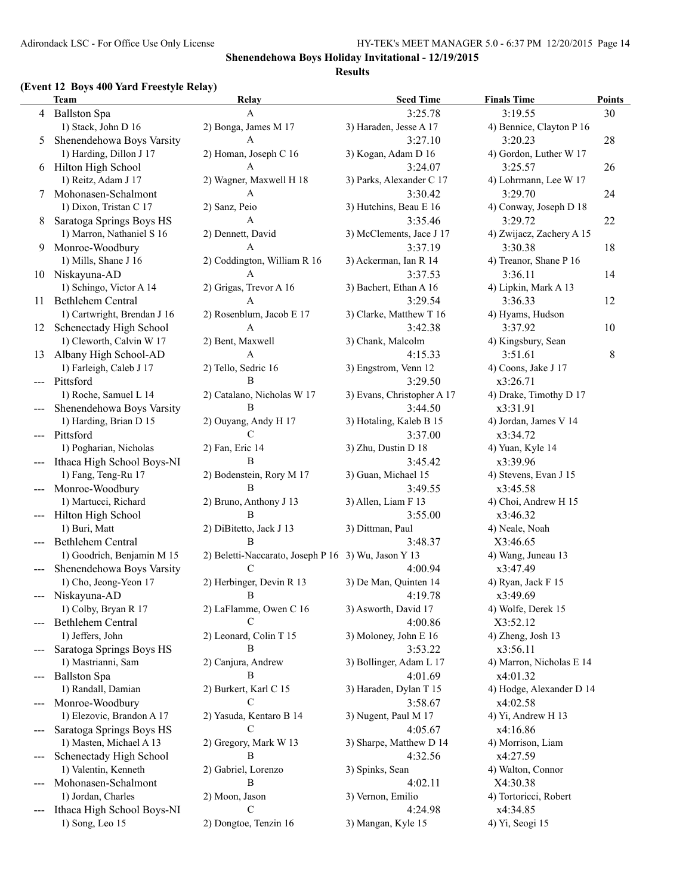## **Shenendehowa Boys Holiday Invitational - 12/19/2015**

#### **Results**

### **(Event 12 Boys 400 Yard Freestyle Relay)**

|                                          | (EVENT 12 DOYS TOO THE PRESPIC INTRY)                 |                                                     |                             |                               |                     |
|------------------------------------------|-------------------------------------------------------|-----------------------------------------------------|-----------------------------|-------------------------------|---------------------|
|                                          | <b>Team</b>                                           | <b>Relay</b><br>A                                   | <b>Seed Time</b><br>3:25.78 | <b>Finals Time</b><br>3:19.55 | <b>Points</b><br>30 |
|                                          | 4 Ballston Spa<br>1) Stack, John D 16                 | 2) Bonga, James M 17                                | 3) Haraden, Jesse A 17      | 4) Bennice, Clayton P 16      |                     |
| 5                                        | Shenendehowa Boys Varsity                             | A                                                   | 3:27.10                     | 3:20.23                       | 28                  |
|                                          | 1) Harding, Dillon J 17                               | 2) Homan, Joseph C 16                               | 3) Kogan, Adam D 16         | 4) Gordon, Luther W 17        |                     |
|                                          | Hilton High School                                    | A                                                   | 3:24.07                     | 3:25.57                       | 26                  |
| 6                                        | 1) Reitz, Adam J 17                                   |                                                     |                             |                               |                     |
|                                          |                                                       | 2) Wagner, Maxwell H 18<br>A                        | 3) Parks, Alexander C 17    | 4) Lohrmann, Lee W 17         |                     |
| 7                                        | Mohonasen-Schalmont                                   |                                                     | 3:30.42                     | 3:29.70                       | 24                  |
|                                          | 1) Dixon, Tristan C 17                                | 2) Sanz, Peio<br>A                                  | 3) Hutchins, Beau E 16      | 4) Conway, Joseph D 18        |                     |
| 8                                        | Saratoga Springs Boys HS<br>1) Marron, Nathaniel S 16 |                                                     | 3:35.46                     | 3:29.72                       | 22                  |
|                                          |                                                       | 2) Dennett, David                                   | 3) McClements, Jace J 17    | 4) Zwijacz, Zachery A 15      |                     |
| 9                                        | Monroe-Woodbury                                       | A                                                   | 3:37.19                     | 3:30.38                       | 18                  |
|                                          | 1) Mills, Shane J 16                                  | 2) Coddington, William R 16                         | 3) Ackerman, Ian R 14       | 4) Treanor, Shane P 16        |                     |
|                                          | 10 Niskayuna-AD                                       | A                                                   | 3:37.53                     | 3:36.11                       | 14                  |
|                                          | 1) Schingo, Victor A 14                               | 2) Grigas, Trevor A 16                              | 3) Bachert, Ethan A 16      | 4) Lipkin, Mark A 13          |                     |
| 11                                       | Bethlehem Central                                     | A                                                   | 3:29.54                     | 3:36.33                       | 12                  |
|                                          | 1) Cartwright, Brendan J 16                           | 2) Rosenblum, Jacob E 17                            | 3) Clarke, Matthew T 16     | 4) Hyams, Hudson              |                     |
| 12                                       | Schenectady High School                               | A                                                   | 3:42.38                     | 3:37.92                       | 10                  |
|                                          | 1) Cleworth, Calvin W 17                              | 2) Bent, Maxwell                                    | 3) Chank, Malcolm           | 4) Kingsbury, Sean            |                     |
| 13                                       | Albany High School-AD                                 | A                                                   | 4:15.33                     | 3:51.61                       | 8                   |
|                                          | 1) Farleigh, Caleb J 17                               | 2) Tello, Sedric 16                                 | 3) Engstrom, Venn 12        | 4) Coons, Jake J 17           |                     |
| $---$                                    | Pittsford                                             | B                                                   | 3:29.50                     | x3:26.71                      |                     |
|                                          | 1) Roche, Samuel L 14                                 | 2) Catalano, Nicholas W 17                          | 3) Evans, Christopher A 17  | 4) Drake, Timothy D 17        |                     |
|                                          | Shenendehowa Boys Varsity                             | B                                                   | 3:44.50                     | x3:31.91                      |                     |
|                                          | 1) Harding, Brian D 15                                | 2) Ouyang, Andy H 17                                | 3) Hotaling, Kaleb B 15     | 4) Jordan, James V 14         |                     |
|                                          | Pittsford                                             | C                                                   | 3:37.00                     | x3:34.72                      |                     |
|                                          | 1) Pogharian, Nicholas                                | 2) Fan, Eric 14                                     | 3) Zhu, Dustin D 18         | 4) Yuan, Kyle 14              |                     |
|                                          | Ithaca High School Boys-NI                            | B                                                   | 3:45.42                     | x3:39.96                      |                     |
|                                          | 1) Fang, Teng-Ru 17                                   | 2) Bodenstein, Rory M 17                            | 3) Guan, Michael 15         | 4) Stevens, Evan J 15         |                     |
|                                          | Monroe-Woodbury                                       | B                                                   | 3:49.55                     | x3:45.58                      |                     |
|                                          | 1) Martucci, Richard                                  | 2) Bruno, Anthony J 13                              | 3) Allen, Liam F 13         | 4) Choi, Andrew H 15          |                     |
|                                          | Hilton High School                                    | B                                                   | 3:55.00                     | x3:46.32                      |                     |
|                                          | 1) Buri, Matt                                         | 2) DiBitetto, Jack J 13                             | 3) Dittman, Paul            | 4) Neale, Noah                |                     |
|                                          | Bethlehem Central                                     | B                                                   | 3:48.37                     | X3:46.65                      |                     |
|                                          | 1) Goodrich, Benjamin M 15                            | 2) Beletti-Naccarato, Joseph P 16 3) Wu, Jason Y 13 |                             | 4) Wang, Juneau 13            |                     |
|                                          | Shenendehowa Boys Varsity                             | C                                                   | 4:00.94                     | x3:47.49                      |                     |
|                                          | 1) Cho, Jeong-Yeon 17                                 | 2) Herbinger, Devin R 13                            | 3) De Man, Quinten 14       | 4) Ryan, Jack F 15            |                     |
|                                          | Niskayuna-AD                                          | $\mathbf{R}$                                        | 4:19.78                     | x3:49.69                      |                     |
|                                          | 1) Colby, Bryan R 17                                  | 2) LaFlamme, Owen C 16                              | 3) Asworth, David 17        | 4) Wolfe, Derek 15            |                     |
|                                          | Bethlehem Central                                     | C                                                   | 4:00.86                     | X3:52.12                      |                     |
|                                          | 1) Jeffers, John                                      | 2) Leonard, Colin T 15                              | 3) Moloney, John E 16       | 4) Zheng, Josh 13             |                     |
|                                          | Saratoga Springs Boys HS                              | B                                                   | 3:53.22                     | x3:56.11                      |                     |
|                                          | 1) Mastrianni, Sam                                    | 2) Canjura, Andrew                                  | 3) Bollinger, Adam L 17     | 4) Marron, Nicholas E 14      |                     |
| $\hspace{0.05cm} \ldots \hspace{0.05cm}$ | <b>Ballston Spa</b>                                   | B                                                   | 4:01.69                     | x4:01.32                      |                     |
|                                          | 1) Randall, Damian                                    | 2) Burkert, Karl C 15                               | 3) Haraden, Dylan T 15      | 4) Hodge, Alexander D 14      |                     |
| $---$                                    | Monroe-Woodbury                                       | C                                                   | 3:58.67                     | x4:02.58                      |                     |
|                                          | 1) Elezovic, Brandon A 17                             | 2) Yasuda, Kentaro B 14                             | 3) Nugent, Paul M 17        | 4) Yi, Andrew H 13            |                     |
| ---                                      | Saratoga Springs Boys HS                              | C                                                   | 4:05.67                     | x4:16.86                      |                     |
|                                          | 1) Masten, Michael A 13                               | 2) Gregory, Mark W 13                               | 3) Sharpe, Matthew D 14     | 4) Morrison, Liam             |                     |
| $---$                                    | Schenectady High School                               | В                                                   | 4:32.56                     | x4:27.59                      |                     |
|                                          | 1) Valentin, Kenneth                                  | 2) Gabriel, Lorenzo                                 | 3) Spinks, Sean             | 4) Walton, Connor             |                     |
|                                          | Mohonasen-Schalmont                                   | В                                                   | 4:02.11                     | X4:30.38                      |                     |
|                                          | 1) Jordan, Charles                                    | 2) Moon, Jason                                      | 3) Vernon, Emilio           | 4) Tortoricci, Robert         |                     |
|                                          | Ithaca High School Boys-NI                            | C                                                   | 4:24.98                     | x4:34.85                      |                     |
|                                          | 1) Song, Leo 15                                       | 2) Dongtoe, Tenzin 16                               | 3) Mangan, Kyle 15          | 4) Yi, Seogi 15               |                     |
|                                          |                                                       |                                                     |                             |                               |                     |